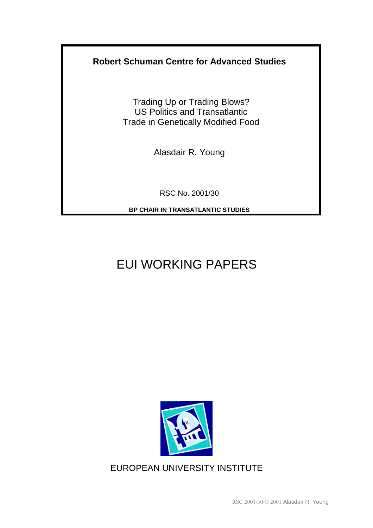## **Robert Schuman Centre for Advanced Studies**

Trading Up or Trading Blows? US Politics and Transatlantic Trade in Genetically Modified Food

Alasdair R. Young

RSC No. 2001/30

**BP CHAIR IN TRANSATLANTIC STUDIES** 

# EUI WORKING PAPERS



EUROPEAN UNIVERSITY INSTITUTE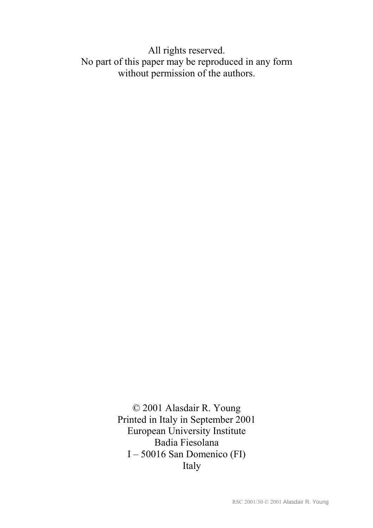# All rights reserved. No part of this paper may be reproduced in any form without permission of the authors.

© 2001 Alasdair R. Young Printed in Italy in September 2001 European University Institute Badia Fiesolana  $I - 50016$  San Domenico (FI) Italy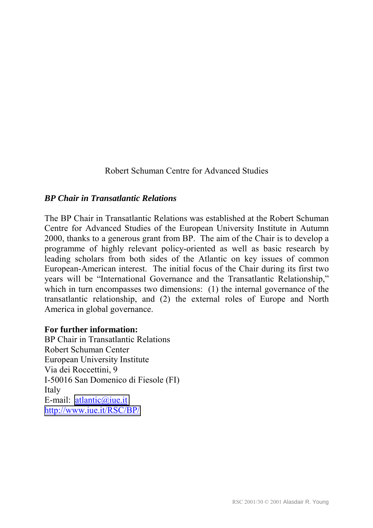Robert Schuman Centre for Advanced Studies

#### *BP Chair in Transatlantic Relations*

The BP Chair in Transatlantic Relations was established at the Robert Schuman Centre for Advanced Studies of the European University Institute in Autumn 2000, thanks to a generous grant from BP. The aim of the Chair is to develop a programme of highly relevant policy-oriented as well as basic research by leading scholars from both sides of the Atlantic on key issues of common European-American interest. The initial focus of the Chair during its first two years will be "International Governance and the Transatlantic Relationship," which in turn encompasses two dimensions: (1) the internal governance of the transatlantic relationship, and (2) the external roles of Europe and North America in global governance.

#### **For further information:**

BP Chair in Transatlantic Relations Robert Schuman Center European University Institute Via dei Roccettini, 9 I-50016 San Domenico di Fiesole (FI) Italy E-mail: [atlantic@iue.it](mailto:atlantic@iue.it) <http://www.iue.it/RSC/BP/>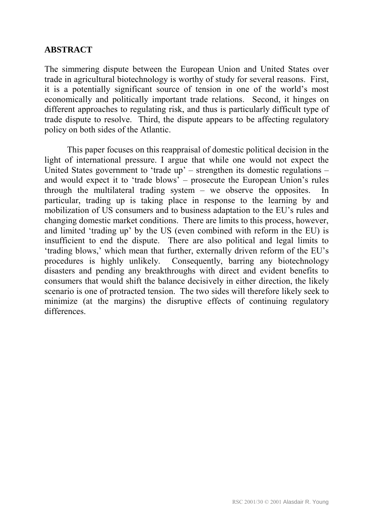#### **ABSTRACT**

The simmering dispute between the European Union and United States over trade in agricultural biotechnology is worthy of study for several reasons. First, it is a potentially significant source of tension in one of the world's most economically and politically important trade relations. Second, it hinges on different approaches to regulating risk, and thus is particularly difficult type of trade dispute to resolve. Third, the dispute appears to be affecting regulatory policy on both sides of the Atlantic.

This paper focuses on this reappraisal of domestic political decision in the light of international pressure. I argue that while one would not expect the United States government to 'trade up'  $-$  strengthen its domestic regulations  $$ and would expect it to 'trade blows'  $-$  prosecute the European Union's rules through the multilateral trading system  $-$  we observe the opposites. In particular, trading up is taking place in response to the learning by and mobilization of US consumers and to business adaptation to the EU's rules and changing domestic market conditions. There are limits to this process, however, and limited 'trading up' by the US (even combined with reform in the EU) is insufficient to end the dispute. There are also political and legal limits to 'trading blows,' which mean that further, externally driven reform of the EU's procedures is highly unlikely. Consequently, barring any biotechnology disasters and pending any breakthroughs with direct and evident benefits to consumers that would shift the balance decisively in either direction, the likely scenario is one of protracted tension. The two sides will therefore likely seek to minimize (at the margins) the disruptive effects of continuing regulatory differences.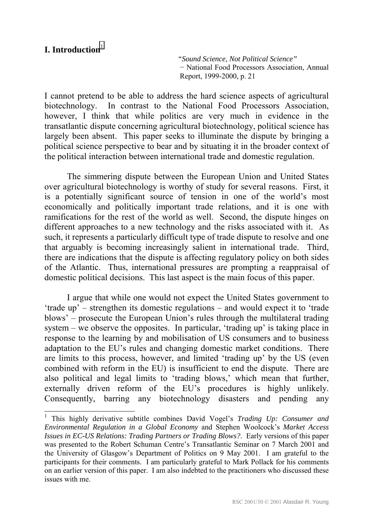#### **I.** Introduction<sup>1</sup>

 $\overline{a}$ 

*"Sound Science, Not Political Science"*  − National Food Processors Association, Annual Report, 1999-2000, p. 21

I cannot pretend to be able to address the hard science aspects of agricultural biotechnology. In contrast to the National Food Processors Association, however, I think that while politics are very much in evidence in the transatlantic dispute concerning agricultural biotechnology, political science has largely been absent. This paper seeks to illuminate the dispute by bringing a political science perspective to bear and by situating it in the broader context of the political interaction between international trade and domestic regulation.

The simmering dispute between the European Union and United States over agricultural biotechnology is worthy of study for several reasons. First, it is a potentially significant source of tension in one of the world's most economically and politically important trade relations, and it is one with ramifications for the rest of the world as well. Second, the dispute hinges on different approaches to a new technology and the risks associated with it. As such, it represents a particularly difficult type of trade dispute to resolve and one that arguably is becoming increasingly salient in international trade. Third, there are indications that the dispute is affecting regulatory policy on both sides of the Atlantic. Thus, international pressures are prompting a reappraisal of domestic political decisions. This last aspect is the main focus of this paper.

I argue that while one would not expect the United States government to  $'$ trade up<sup> $'$ </sup> – strengthen its domestic regulations – and would expect it to  $'$ trade blows' – prosecute the European Union's rules through the multilateral trading system  $-\omega$  we observe the opposites. In particular, 'trading up' is taking place in response to the learning by and mobilisation of US consumers and to business adaptation to the EU's rules and changing domestic market conditions. There are limits to this process, however, and limited 'trading up' by the US (even combined with reform in the EU) is insufficient to end the dispute. There are also political and legal limits to 'trading blows,' which mean that further, externally driven reform of the EU's procedures is highly unlikely. Consequently, barring any biotechnology disasters and pending any

<sup>&</sup>lt;sup>1</sup> This highly derivative subtitle combines David Vogel's *Trading Up: Consumer and Environmental Regulation in a Global Economy* and Stephen Woolcock's *Market Access Issues in EC-US Relations: Trading Partners or Trading Blows?*. Early versions of this paper was presented to the Robert Schuman Centre's Transatlantic Seminar on 7 March 2001 and the University of Glasgow's Department of Politics on 9 May 2001. I am grateful to the participants for their comments. I am particularly grateful to Mark Pollack for his comments on an earlier version of this paper. I am also indebted to the practitioners who discussed these issues with me.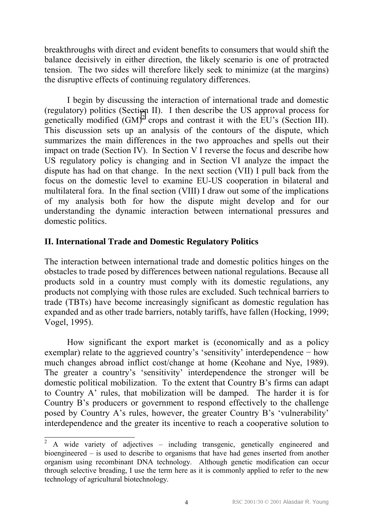breakthroughs with direct and evident benefits to consumers that would shift the balance decisively in either direction, the likely scenario is one of protracted tension. The two sides will therefore likely seek to minimize (at the margins) the disruptive effects of continuing regulatory differences.

I begin by discussing the interaction of international trade and domestic (regulatory) politics (Section II). I then describe the US approval process for genetically modified  $(GM)^2$  crops and contrast it with the EU's (Section III). This discussion sets up an analysis of the contours of the dispute, which summarizes the main differences in the two approaches and spells out their impact on trade (Section IV). In Section V I reverse the focus and describe how US regulatory policy is changing and in Section VI analyze the impact the dispute has had on that change. In the next section (VII) I pull back from the focus on the domestic level to examine EU-US cooperation in bilateral and multilateral fora. In the final section (VIII) I draw out some of the implications of my analysis both for how the dispute might develop and for our understanding the dynamic interaction between international pressures and domestic politics.

#### **II. International Trade and Domestic Regulatory Politics**

 $\overline{a}$ 

The interaction between international trade and domestic politics hinges on the obstacles to trade posed by differences between national regulations. Because all products sold in a country must comply with its domestic regulations, any products not complying with those rules are excluded. Such technical barriers to trade (TBTs) have become increasingly significant as domestic regulation has expanded and as other trade barriers, notably tariffs, have fallen (Hocking, 1999; Vogel, 1995).

How significant the export market is (economically and as a policy exemplar) relate to the aggrieved country's 'sensitivity' interdependence − how much changes abroad inflict cost/change at home (Keohane and Nye, 1989). The greater a country's 'sensitivity' interdependence the stronger will be domestic political mobilization. To the extent that Country  $B$ 's firms can adapt to Country A' rules, that mobilization will be damped. The harder it is for Country B's producers or government to respond effectively to the challenge posed by Country A's rules, however, the greater Country B's 'vulnerability' interdependence and the greater its incentive to reach a cooperative solution to

<sup>2</sup> A wide variety of adjectives – including transgenic, genetically engineered and bioengineered  $-$  is used to describe to organisms that have had genes inserted from another organism using recombinant DNA technology. Although genetic modification can occur through selective breading, I use the term here as it is commonly applied to refer to the new technology of agricultural biotechnology.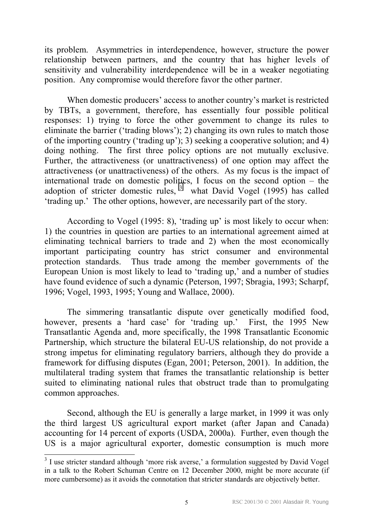its problem.Asymmetries in interdependence, however, structure the power relationship between partners, and the country that has higher levels of sensitivity and vulnerability interdependence will be in a weaker negotiating position. Any compromise would therefore favor the other partner.

When domestic producers' access to another country's market is restricted by TBTs, a government, therefore, has essentially four possible political responses: 1) trying to force the other government to change its rules to eliminate the barrier ('trading blows'); 2) changing its own rules to match those of the importing country ('trading up'); 3) seeking a cooperative solution; and 4) doing nothing. The first three policy options are not mutually exclusive. Further, the attractiveness (or unattractiveness) of one option may affect the attractiveness (or unattractiveness) of the others. As my focus is the impact of international trade on domestic politics, I focus on the second option  $-$  the adoption of stricter domestic rules,  $3$  what David Vogel (1995) has called 'trading up.' The other options, however, are necessarily part of the story.

According to Vogel  $(1995: 8)$ , 'trading up' is most likely to occur when: 1) the countries in question are parties to an international agreement aimed at eliminating technical barriers to trade and 2) when the most economically important participating country has strict consumer and environmental protection standards. Thus trade among the member governments of the European Union is most likely to lead to 'trading up,' and a number of studies have found evidence of such a dynamic (Peterson, 1997; Sbragia, 1993; Scharpf, 1996; Vogel, 1993, 1995; Young and Wallace, 2000).

The simmering transatlantic dispute over genetically modified food, however, presents a 'hard case' for 'trading up.' First, the 1995 New Transatlantic Agenda and, more specifically, the 1998 Transatlantic Economic Partnership, which structure the bilateral EU-US relationship, do not provide a strong impetus for eliminating regulatory barriers, although they do provide a framework for diffusing disputes (Egan, 2001; Peterson, 2001). In addition, the multilateral trading system that frames the transatlantic relationship is better suited to eliminating national rules that obstruct trade than to promulgating common approaches.

Second, although the EU is generally a large market, in 1999 it was only the third largest US agricultural export market (after Japan and Canada) accounting for 14 percent of exports (USDA, 2000a). Further, even though the US is a major agricultural exporter, domestic consumption is much more

<sup>&</sup>lt;sup>3</sup> I use stricter standard although 'more risk averse,' a formulation suggested by David Vogel in a talk to the Robert Schuman Centre on 12 December 2000, might be more accurate (if more cumbersome) as it avoids the connotation that stricter standards are objectively better.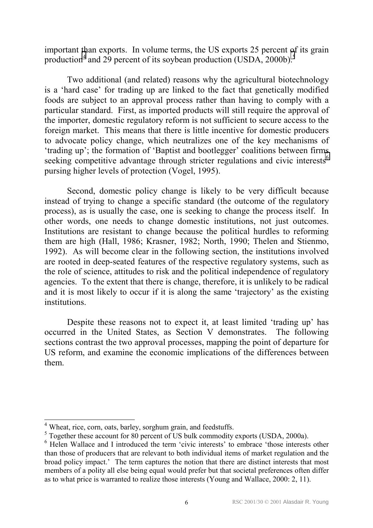important than exports. In volume terms, the US exports 25 percent of its grain production<sup>4</sup> and 29 percent of its soybean production (USDA, 2000b).<sup>5</sup>

Two additional (and related) reasons why the agricultural biotechnology is a 'hard case' for trading up are linked to the fact that genetically modified foods are subject to an approval process rather than having to comply with a particular standard. First, as imported products will still require the approval of the importer, domestic regulatory reform is not sufficient to secure access to the foreign market. This means that there is little incentive for domestic producers to advocate policy change, which neutralizes one of the key mechanisms of 'trading up'; the formation of 'Baptist and bootlegger' coalitions between firms seeking competitive advantage through stricter regulations and civic interests<sup>6</sup> pursing higher levels of protection (Vogel, 1995).

Second, domestic policy change is likely to be very difficult because instead of trying to change a specific standard (the outcome of the regulatory process), as is usually the case, one is seeking to change the process itself. In other words, one needs to change domestic institutions, not just outcomes. Institutions are resistant to change because the political hurdles to reforming them are high (Hall, 1986; Krasner, 1982; North, 1990; Thelen and Stienmo, 1992). As will become clear in the following section, the institutions involved are rooted in deep-seated features of the respective regulatory systems, such as the role of science, attitudes to risk and the political independence of regulatory agencies. To the extent that there is change, therefore, it is unlikely to be radical and it is most likely to occur if it is along the same 'trajectory' as the existing institutions.

Despite these reasons not to expect it, at least limited 'trading up' has occurred in the United States, as Section V demonstrates. The following sections contrast the two approval processes, mapping the point of departure for US reform, and examine the economic implications of the differences between them.

<sup>&</sup>lt;sup>4</sup> Wheat, rice, corn, oats, barley, sorghum grain, and feedstuffs.

<sup>&</sup>lt;sup>5</sup> Together these account for 80 percent of US bulk commodity exports (USDA, 2000a).

<sup>&</sup>lt;sup>6</sup> Helen Wallace and I introduced the term 'civic interests' to embrace 'those interests other than those of producers that are relevant to both individual items of market regulation and the broad policy impact.<sup>7</sup> The term captures the notion that there are distinct interests that most members of a polity all else being equal would prefer but that societal preferences often differ as to what price is warranted to realize those interests (Young and Wallace, 2000: 2, 11).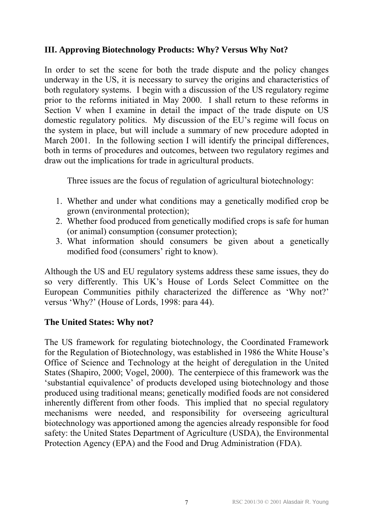#### **III. Approving Biotechnology Products: Why? Versus Why Not?**

In order to set the scene for both the trade dispute and the policy changes underway in the US, it is necessary to survey the origins and characteristics of both regulatory systems. I begin with a discussion of the US regulatory regime prior to the reforms initiated in May 2000. I shall return to these reforms in Section V when I examine in detail the impact of the trade dispute on US domestic regulatory politics. My discussion of the EU's regime will focus on the system in place, but will include a summary of new procedure adopted in March 2001. In the following section I will identify the principal differences, both in terms of procedures and outcomes, between two regulatory regimes and draw out the implications for trade in agricultural products.

Three issues are the focus of regulation of agricultural biotechnology:

- 1. Whether and under what conditions may a genetically modified crop be grown (environmental protection);
- 2. Whether food produced from genetically modified crops is safe for human (or animal) consumption (consumer protection);
- 3. What information should consumers be given about a genetically modified food (consumers' right to know).

Although the US and EU regulatory systems address these same issues, they do so very differently. This UK's House of Lords Select Committee on the European Communities pithily characterized the difference as 'Why not?' versus 'Why?' (House of Lords, 1998: para 44).

#### **The United States: Why not?**

The US framework for regulating biotechnology, the Coordinated Framework for the Regulation of Biotechnology, was established in 1986 the White House's Office of Science and Technology at the height of deregulation in the United States (Shapiro, 2000; Vogel, 2000). The centerpiece of this framework was the 'substantial equivalence' of products developed using biotechnology and those produced using traditional means; genetically modified foods are not considered inherently different from other foods. This implied that no special regulatory mechanisms were needed, and responsibility for overseeing agricultural biotechnology was apportioned among the agencies already responsible for food safety: the United States Department of Agriculture (USDA), the Environmental Protection Agency (EPA) and the Food and Drug Administration (FDA).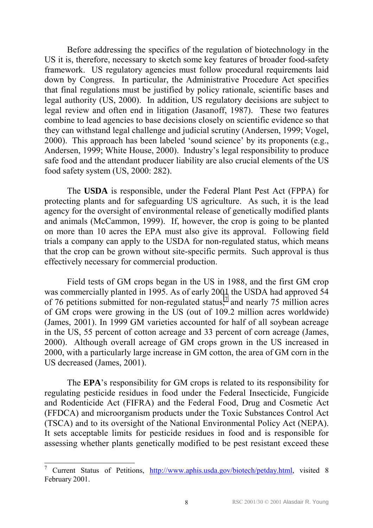Before addressing the specifics of the regulation of biotechnology in the US it is, therefore, necessary to sketch some key features of broader food-safety framework. US regulatory agencies must follow procedural requirements laid down by Congress. In particular, the Administrative Procedure Act specifies that final regulations must be justified by policy rationale, scientific bases and legal authority (US, 2000). In addition, US regulatory decisions are subject to legal review and often end in litigation (Jasanoff, 1987). These two features combine to lead agencies to base decisions closely on scientific evidence so that they can withstand legal challenge and judicial scrutiny (Andersen, 1999; Vogel,  $2000$ ). This approach has been labeled 'sound science' by its proponents (e.g., Andersen, 1999; White House, 2000). Industry's legal responsibility to produce safe food and the attendant producer liability are also crucial elements of the US food safety system (US, 2000: 282).

The **USDA** is responsible, under the Federal Plant Pest Act (FPPA) for protecting plants and for safeguarding US agriculture. As such, it is the lead agency for the oversight of environmental release of genetically modified plants and animals (McCammon, 1999). If, however, the crop is going to be planted on more than 10 acres the EPA must also give its approval. Following field trials a company can apply to the USDA for non-regulated status, which means that the crop can be grown without site-specific permits. Such approval is thus effectively necessary for commercial production.

Field tests of GM crops began in the US in 1988, and the first GM crop was commercially planted in 1995. As of early 2001 the USDA had approved 54 of 76 petitions submitted for non-regulated status,<sup>7</sup> and nearly 75 million acres of GM crops were growing in the US (out of 109.2 million acres worldwide) (James, 2001). In 1999 GM varieties accounted for half of all soybean acreage in the US, 55 percent of cotton acreage and 33 percent of corn acreage (James, 2000). Although overall acreage of GM crops grown in the US increased in 2000, with a particularly large increase in GM cotton, the area of GM corn in the US decreased (James, 2001).

The **EPA**'s responsibility for GM crops is related to its responsibility for regulating pesticide residues in food under the Federal Insecticide, Fungicide and Rodenticide Act (FIFRA) and the Federal Food, Drug and Cosmetic Act (FFDCA) and microorganism products under the Toxic Substances Control Act (TSCA) and to its oversight of the National Environmental Policy Act (NEPA). It sets acceptable limits for pesticide residues in food and is responsible for assessing whether plants genetically modified to be pest resistant exceed these

<sup>7</sup> Current Status of Petitions, http://www.aphis.usda.gov/biotech/petday.html, visited 8 February 2001.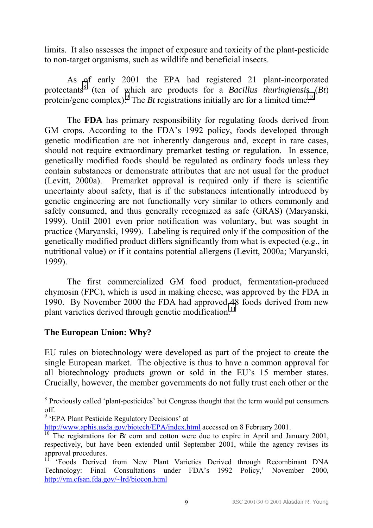limits. It also assesses the impact of exposure and toxicity of the plant-pesticide to non-target organisms, such as wildlife and beneficial insects.

As of early 2001 the EPA had registered 21 plant-incorporated protectants<sup>8</sup> (ten of which are products for a *Bacillus thuringiensis* (*Bt*) protein/gene complex). <sup>9</sup> The *Bt* registrations initially are for a limited time.<sup>10</sup>

The **FDA** has primary responsibility for regulating foods derived from GM crops. According to the FDA's 1992 policy, foods developed through genetic modification are not inherently dangerous and, except in rare cases, should not require extraordinary premarket testing or regulation. In essence, genetically modified foods should be regulated as ordinary foods unless they contain substances or demonstrate attributes that are not usual for the product (Levitt, 2000a). Premarket approval is required only if there is scientific uncertainty about safety, that is if the substances intentionally introduced by genetic engineering are not functionally very similar to others commonly and safely consumed, and thus generally recognized as safe (GRAS) (Maryanski, 1999). Until 2001 even prior notification was voluntary, but was sought in practice (Maryanski, 1999). Labeling is required only if the composition of the genetically modified product differs significantly from what is expected (e.g., in nutritional value) or if it contains potential allergens (Levitt, 2000a; Maryanski, 1999).

The first commercialized GM food product, fermentation-produced chymosin (FPC), which is used in making cheese, was approved by the FDA in 1990. By November 2000 the FDA had approved 48 foods derived from new plant varieties derived through genetic modification.<sup>11</sup>

#### **The European Union: Why?**

EU rules on biotechnology were developed as part of the project to create the single European market. The objective is thus to have a common approval for all biotechnology products grown or sold in the EU's 15 member states. Crucially, however, the member governments do not fully trust each other or the

<sup>&</sup>lt;sup>8</sup> Previously called 'plant-pesticides' but Congress thought that the term would put consumers off.

<sup>&</sup>lt;sup>9</sup> 'EPA Plant Pesticide Regulatory Decisions' at

http://www.aphis.usda.gov/biotech/EPA/index.html accessed on 8 February 2001.

<sup>&</sup>lt;sup>10</sup> The registrations for *Bt* corn and cotton were due to expire in April and January 2001, respectively, but have been extended until September 2001, while the agency revises its approval procedures.

<sup>11</sup> ëFoods Derived from New Plant Varieties Derived through Recombinant DNA Technology: Final Consultations under FDA's 1992 Policy,' November 2000, http://vm.cfsan.fda.gov/~lrd/biocon.html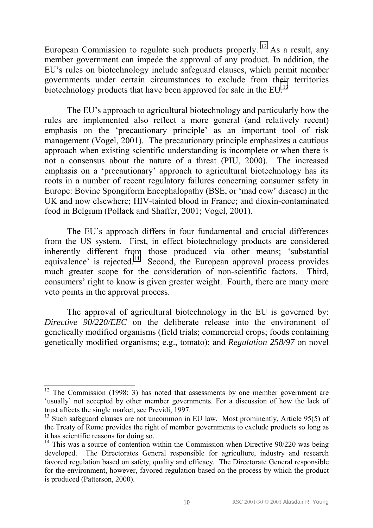European Commission to regulate such products properly. <sup>12</sup> As a result, any member government can impede the approval of any product. In addition, the EU's rules on biotechnology include safeguard clauses, which permit member governments under certain circumstances to exclude from their territories biotechnology products that have been approved for sale in the EU.<sup>13</sup>

The EU's approach to agricultural biotechnology and particularly how the rules are implemented also reflect a more general (and relatively recent) emphasis on the 'precautionary principle' as an important tool of risk management (Vogel, 2001). The precautionary principle emphasizes a cautious approach when existing scientific understanding is incomplete or when there is not a consensus about the nature of a threat (PIU, 2000). The increased emphasis on a 'precautionary' approach to agricultural biotechnology has its roots in a number of recent regulatory failures concerning consumer safety in Europe: Bovine Spongiform Encephalopathy (BSE, or 'mad cow' disease) in the UK and now elsewhere; HIV-tainted blood in France; and dioxin-contaminated food in Belgium (Pollack and Shaffer, 2001; Vogel, 2001).

The EU's approach differs in four fundamental and crucial differences from the US system. First, in effect biotechnology products are considered inherently different from those produced via other means; ësubstantial equivalence' is rejected.<sup>14</sup> Second, the European approval process provides much greater scope for the consideration of non-scientific factors. Third, consumers' right to know is given greater weight. Fourth, there are many more veto points in the approval process.

 The approval of agricultural biotechnology in the EU is governed by: *Directive 90/220/EEC* on the deliberate release into the environment of genetically modified organisms (field trials; commercial crops; foods containing genetically modified organisms; e.g., tomato); and *Regulation 258/97* on novel

 $12$  The Commission (1998: 3) has noted that assessments by one member government are 'usually' not accepted by other member governments. For a discussion of how the lack of trust affects the single market, see Previdi, 1997.

 $13$  Such safeguard clauses are not uncommon in EU law. Most prominently, Article 95(5) of the Treaty of Rome provides the right of member governments to exclude products so long as it has scientific reasons for doing so.

 $14$  This was a source of contention within the Commission when Directive 90/220 was being developed. The Directorates General responsible for agriculture, industry and research favored regulation based on safety, quality and efficacy. The Directorate General responsible for the environment, however, favored regulation based on the process by which the product is produced (Patterson, 2000).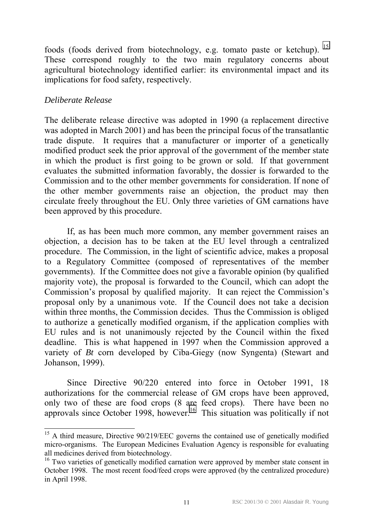foods (foods derived from biotechnology, e.g. tomato paste or ketchup). 15 These correspond roughly to the two main regulatory concerns about agricultural biotechnology identified earlier: its environmental impact and its implications for food safety, respectively.

#### *Deliberate Release*

 $\overline{a}$ 

The deliberate release directive was adopted in 1990 (a replacement directive was adopted in March 2001) and has been the principal focus of the transatlantic trade dispute. It requires that a manufacturer or importer of a genetically modified product seek the prior approval of the government of the member state in which the product is first going to be grown or sold. If that government evaluates the submitted information favorably, the dossier is forwarded to the Commission and to the other member governments for consideration. If none of the other member governments raise an objection, the product may then circulate freely throughout the EU. Only three varieties of GM carnations have been approved by this procedure.

 If, as has been much more common, any member government raises an objection, a decision has to be taken at the EU level through a centralized procedure. The Commission, in the light of scientific advice, makes a proposal to a Regulatory Committee (composed of representatives of the member governments). If the Committee does not give a favorable opinion (by qualified majority vote), the proposal is forwarded to the Council, which can adopt the Commission's proposal by qualified majority. It can reject the Commission's proposal only by a unanimous vote. If the Council does not take a decision within three months, the Commission decides. Thus the Commission is obliged to authorize a genetically modified organism, if the application complies with EU rules and is not unanimously rejected by the Council within the fixed deadline. This is what happened in 1997 when the Commission approved a variety of *Bt* corn developed by Ciba-Giegy (now Syngenta) (Stewart and Johanson, 1999).

Since Directive 90/220 entered into force in October 1991, 18 authorizations for the commercial release of GM crops have been approved, only two of these are food crops (8 are feed crops). There have been no approvals since October 1998, however.<sup>16</sup> This situation was politically if not

<sup>&</sup>lt;sup>15</sup> A third measure, Directive 90/219/EEC governs the contained use of genetically modified micro-organisms. The European Medicines Evaluation Agency is responsible for evaluating all medicines derived from biotechnology.

<sup>&</sup>lt;sup>16</sup> Two varieties of genetically modified carnation were approved by member state consent in October 1998. The most recent food/feed crops were approved (by the centralized procedure) in April 1998.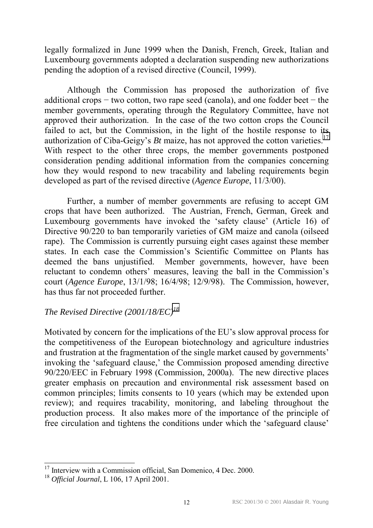legally formalized in June 1999 when the Danish, French, Greek, Italian and Luxembourg governments adopted a declaration suspending new authorizations pending the adoption of a revised directive (Council, 1999).

Although the Commission has proposed the authorization of five additional crops − two cotton, two rape seed (canola), and one fodder beet − the member governments, operating through the Regulatory Committee, have not approved their authorization. In the case of the two cotton crops the Council failed to act, but the Commission, in the light of the hostile response to its authorization of Ciba-Geigy's  $Bt$  maize, has not approved the cotton varieties.<sup>17</sup> With respect to the other three crops, the member governments postponed consideration pending additional information from the companies concerning how they would respond to new tracability and labeling requirements begin developed as part of the revised directive (*Agence Europe*, 11/3/00).

Further, a number of member governments are refusing to accept GM crops that have been authorized. The Austrian, French, German, Greek and Luxembourg governments have invoked the 'safety clause' (Article 16) of Directive 90/220 to ban temporarily varieties of GM maize and canola (oilseed rape). The Commission is currently pursuing eight cases against these member states. In each case the Commission's Scientific Committee on Plants has deemed the bans unjustified. Member governments, however, have been reluctant to condemn others' measures, leaving the ball in the Commission's court (*Agence Europe*, 13/1/98; 16/4/98; 12/9/98). The Commission, however, has thus far not proceeded further.

## *The Revised Directive (2001/18/EC)<sup>18</sup>*

Motivated by concern for the implications of the EU's slow approval process for the competitiveness of the European biotechnology and agriculture industries and frustration at the fragmentation of the single market caused by governments<sup>7</sup> invoking the 'safeguard clause,' the Commission proposed amending directive 90/220/EEC in February 1998 (Commission, 2000a). The new directive places greater emphasis on precaution and environmental risk assessment based on common principles; limits consents to 10 years (which may be extended upon review); and requires tracability, monitoring, and labeling throughout the production process. It also makes more of the importance of the principle of free circulation and tightens the conditions under which the 'safeguard clause'

Interview with a Commission official, San Domenico, 4 Dec. 2000.

<sup>18</sup> *Official Journal*, L 106, 17 April 2001.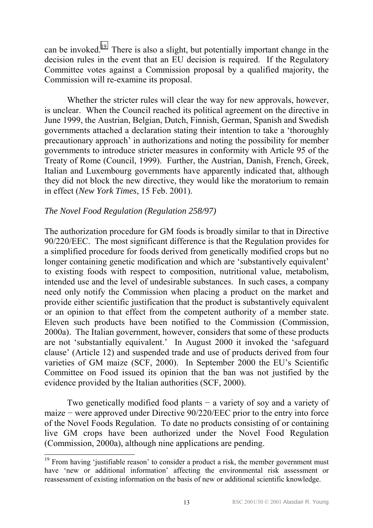can be invoked.19 There is also a slight, but potentially important change in the decision rules in the event that an EU decision is required. If the Regulatory Committee votes against a Commission proposal by a qualified majority, the Commission will re-examine its proposal.

Whether the stricter rules will clear the way for new approvals, however, is unclear. When the Council reached its political agreement on the directive in June 1999, the Austrian, Belgian, Dutch, Finnish, German, Spanish and Swedish governments attached a declaration stating their intention to take a 'thoroughly precautionary approach<sup>3</sup> in authorizations and noting the possibility for member governments to introduce stricter measures in conformity with Article 95 of the Treaty of Rome (Council, 1999). Further, the Austrian, Danish, French, Greek, Italian and Luxembourg governments have apparently indicated that, although they did not block the new directive, they would like the moratorium to remain in effect (*New York Times*, 15 Feb. 2001).

#### *The Novel Food Regulation (Regulation 258/97)*

 $\overline{a}$ 

The authorization procedure for GM foods is broadly similar to that in Directive 90/220/EEC. The most significant difference is that the Regulation provides for a simplified procedure for foods derived from genetically modified crops but no longer containing genetic modification and which are 'substantively equivalent' to existing foods with respect to composition, nutritional value, metabolism, intended use and the level of undesirable substances. In such cases, a company need only notify the Commission when placing a product on the market and provide either scientific justification that the product is substantively equivalent or an opinion to that effect from the competent authority of a member state. Eleven such products have been notified to the Commission (Commission, 2000a). The Italian government, however, considers that some of these products are not 'substantially equivalent.' In August 2000 it invoked the 'safeguard clause' (Article 12) and suspended trade and use of products derived from four varieties of GM maize (SCF, 2000). In September 2000 the EU's Scientific Committee on Food issued its opinion that the ban was not justified by the evidence provided by the Italian authorities (SCF, 2000).

 Two genetically modified food plants − a variety of soy and a variety of maize − were approved under Directive 90/220/EEC prior to the entry into force of the Novel Foods Regulation. To date no products consisting of or containing live GM crops have been authorized under the Novel Food Regulation (Commission, 2000a), although nine applications are pending.

 $19$  From having 'justifiable reason' to consider a product a risk, the member government must have 'new or additional information' affecting the environmental risk assessment or reassessment of existing information on the basis of new or additional scientific knowledge.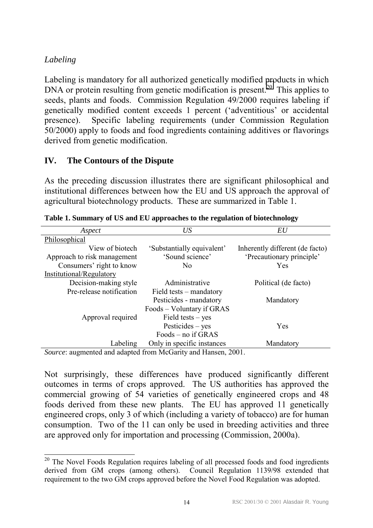## *Labeling*

 $\overline{a}$ 

Labeling is mandatory for all authorized genetically modified products in which DNA or protein resulting from genetic modification is present.<sup>20</sup> This applies to seeds, plants and foods. Commission Regulation 49/2000 requires labeling if genetically modified content exceeds 1 percent ('adventitious' or accidental presence). Specific labeling requirements (under Commission Regulation 50/2000) apply to foods and food ingredients containing additives or flavorings derived from genetic modification.

## **IV. The Contours of the Dispute**

As the preceding discussion illustrates there are significant philosophical and institutional differences between how the EU and US approach the approval of agricultural biotechnology products. These are summarized in Table 1.

| US<br>Aspect                                                                                                                                                                                                                                                                                                                     |                            | EU                              |  |
|----------------------------------------------------------------------------------------------------------------------------------------------------------------------------------------------------------------------------------------------------------------------------------------------------------------------------------|----------------------------|---------------------------------|--|
| Philosophical                                                                                                                                                                                                                                                                                                                    |                            |                                 |  |
| View of biotech                                                                                                                                                                                                                                                                                                                  | 'Substantially equivalent' | Inherently different (de facto) |  |
| Approach to risk management                                                                                                                                                                                                                                                                                                      | 'Sound science'            | 'Precautionary principle'       |  |
| Consumers' right to know                                                                                                                                                                                                                                                                                                         | N <sub>0</sub>             | Yes                             |  |
| Institutional/Regulatory                                                                                                                                                                                                                                                                                                         |                            |                                 |  |
| Decision-making style                                                                                                                                                                                                                                                                                                            | Administrative             | Political (de facto)            |  |
| Pre-release notification                                                                                                                                                                                                                                                                                                         | Field tests – mandatory    |                                 |  |
|                                                                                                                                                                                                                                                                                                                                  | Pesticides - mandatory     | Mandatory                       |  |
|                                                                                                                                                                                                                                                                                                                                  | Foods – Voluntary if GRAS  |                                 |  |
| Approval required                                                                                                                                                                                                                                                                                                                | Field tests $-$ yes        |                                 |  |
|                                                                                                                                                                                                                                                                                                                                  | $Pesticides - yes$         | Yes                             |  |
|                                                                                                                                                                                                                                                                                                                                  | Foods – no if GRAS         |                                 |  |
| Labeling                                                                                                                                                                                                                                                                                                                         | Only in specific instances | Mandatory                       |  |
| $\alpha$ and $\alpha$ is the set of $\alpha$ and $\alpha$ is the set of $\alpha$ is $\alpha$ is $\alpha$ is $\alpha$ is $\alpha$ is $\alpha$ is $\alpha$ is $\alpha$ is $\alpha$ is $\alpha$ is $\alpha$ is $\alpha$ is $\alpha$ is $\alpha$ is $\alpha$ is $\alpha$ is $\alpha$ is $\alpha$ is $\alpha$ is $\alpha$ is $\alpha$ |                            |                                 |  |

**Table 1. Summary of US and EU approaches to the regulation of biotechnology** 

*Source*: augmented and adapted from McGarity and Hansen, 2001.

Not surprisingly, these differences have produced significantly different outcomes in terms of crops approved. The US authorities has approved the commercial growing of 54 varieties of genetically engineered crops and 48 foods derived from these new plants. The EU has approved 11 genetically engineered crops, only 3 of which (including a variety of tobacco) are for human consumption. Two of the 11 can only be used in breeding activities and three are approved only for importation and processing (Commission, 2000a).

 $20$  The Novel Foods Regulation requires labeling of all processed foods and food ingredients derived from GM crops (among others). Council Regulation 1139/98 extended that requirement to the two GM crops approved before the Novel Food Regulation was adopted.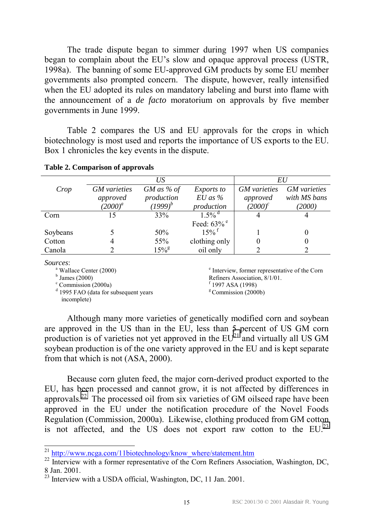The trade dispute began to simmer during 1997 when US companies began to complain about the EU's slow and opaque approval process (USTR, 1998a). The banning of some EU-approved GM products by some EU member governments also prompted concern. The dispute, however, really intensified when the EU adopted its rules on mandatory labeling and burst into flame with the announcement of a *de facto* moratorium on approvals by five member governments in June 1999.

Table 2 compares the US and EU approvals for the crops in which biotechnology is most used and reports the importance of US exports to the EU. Box 1 chronicles the key events in the dispute.

|          | US                  |                | EU                        |                     |                     |
|----------|---------------------|----------------|---------------------------|---------------------|---------------------|
| Crop     | <b>GM</b> varieties | $GM$ as % of   | <i>Exports to</i>         | <b>GM</b> varieties | <b>GM</b> varieties |
|          | approved            | production     | $EU$ as $%$               | approved            | with MS bans        |
|          | $(2000)^{a}$        | $(1999)^b$     | production                | $(2000)^c$          | (2000)              |
| Corn     | 15                  | 33%            | $1.5\%$ <sup>d</sup>      |                     |                     |
|          |                     |                | Feed: $63\%$ <sup>e</sup> |                     |                     |
| Soybeans |                     | 50%            | $15\%$ <sup>f</sup>       |                     |                     |
| Cotton   |                     | 55%            | clothing only             |                     |                     |
| Canola   |                     | $15\%^{\rm g}$ | oil only                  |                     |                     |
|          |                     |                |                           |                     |                     |

#### **Table 2. Comparison of approvals**

*Sources*:

<sup>a</sup> Wallace Center (2000)

 $<sup>b</sup>$  James (2000)</sup>

<sup>c</sup> Commission (2000a)

<sup>d</sup> 1995 FAO (data for subsequent years incomplete)

e Interview, former representative of the Corn Refiners Association, 8/1/01. f 1997 ASA (1998)  $g$  Commission (2000b)

Although many more varieties of genetically modified corn and soybean are approved in the US than in the EU, less than 5 percent of US GM corn production is of varieties not yet approved in the  $EU^{21}$  and virtually all US GM soybean production is of the one variety approved in the EU and is kept separate from that which is not (ASA, 2000).

Because corn gluten feed, the major corn-derived product exported to the EU, has been processed and cannot grow, it is not affected by differences in approvals.22 The processed oil from six varieties of GM oilseed rape have been approved in the EU under the notification procedure of the Novel Foods Regulation (Commission, 2000a). Likewise, clothing produced from GM cotton is not affected, and the US does not export raw cotton to the  $EU^{23}$ 

 $^{21}$  http://www.ncga.com/11biotechnology/know where/statement.htm

<sup>&</sup>lt;sup>22</sup> Interview with a former representative of the Corn Refiners Association, Washington, DC, 8 Jan. 2001.

 $\frac{23}{23}$  Interview with a USDA official, Washington, DC, 11 Jan. 2001.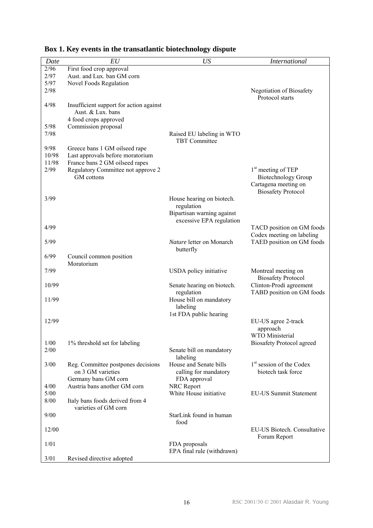| Date         | EU                                      | US                                                | <b>International</b>                        |
|--------------|-----------------------------------------|---------------------------------------------------|---------------------------------------------|
| 2/96         | First food crop approval                |                                                   |                                             |
| 2/97         | Aust. and Lux. ban GM corn              |                                                   |                                             |
| 5/97         | Novel Foods Regulation                  |                                                   |                                             |
| 2/98         |                                         |                                                   | Negotiation of Biosafety<br>Protocol starts |
| 4/98         | Insufficient support for action against |                                                   |                                             |
|              | Aust. & Lux. bans                       |                                                   |                                             |
|              | 4 food crops approved                   |                                                   |                                             |
| 5/98         | Commission proposal                     |                                                   |                                             |
| 7/98         |                                         | Raised EU labeling in WTO<br><b>TBT</b> Committee |                                             |
| 9/98         | Greece bans 1 GM oilseed rape           |                                                   |                                             |
| 10/98        | Last approvals before moratorium        |                                                   |                                             |
| 11/98        | France bans 2 GM oilseed rapes          |                                                   |                                             |
| 2/99         | Regulatory Committee not approve 2      |                                                   | 1 <sup>st</sup> meeting of TEP              |
|              | GM cottons                              |                                                   | <b>Biotechnology Group</b>                  |
|              |                                         |                                                   | Cartagena meeting on                        |
| 3/99         |                                         | House hearing on biotech.                         | <b>Biosafety Protocol</b>                   |
|              |                                         | regulation                                        |                                             |
|              |                                         | Bipartisan warning against                        |                                             |
|              |                                         | excessive EPA regulation                          |                                             |
| 4/99         |                                         |                                                   | TACD position on GM foods                   |
|              |                                         |                                                   | Codex meeting on labeling                   |
| 5/99         |                                         | Nature letter on Monarch                          | TAED position on GM foods                   |
|              |                                         | butterfly                                         |                                             |
| 6/99         | Council common position<br>Moratorium   |                                                   |                                             |
| 7/99         |                                         | USDA policy initiative                            | Montreal meeting on                         |
|              |                                         |                                                   | <b>Biosafety Protocol</b>                   |
| 10/99        |                                         | Senate hearing on biotech.                        | Clinton-Prodi agreement                     |
|              |                                         | regulation                                        | TABD position on GM foods                   |
| 11/99        |                                         | House bill on mandatory                           |                                             |
|              |                                         | labeling                                          |                                             |
|              |                                         | 1st FDA public hearing                            |                                             |
| 12/99        |                                         |                                                   | EU-US agree 2-track                         |
|              |                                         |                                                   | approach<br>WTO Ministerial                 |
| 1/00         | 1% threshold set for labeling           |                                                   | <b>Biosafety Protocol agreed</b>            |
| 2/00         |                                         | Senate bill on mandatory                          |                                             |
|              |                                         | labeling                                          |                                             |
| 3/00         | Reg. Committee postpones decisions      | House and Senate bills                            | 1 <sup>st</sup> session of the Codex        |
|              | on 3 GM varieties                       | calling for mandatory                             | biotech task force                          |
|              | Germany bans GM corn                    | FDA approval                                      |                                             |
| 4/00<br>5/00 | Austria bans another GM corn            | NRC Report<br>White House initiative              | <b>EU-US Summit Statement</b>               |
| 8/00         | Italy bans foods derived from 4         |                                                   |                                             |
|              | varieties of GM corn                    |                                                   |                                             |
| 9/00         |                                         | StarLink found in human                           |                                             |
|              |                                         | food                                              |                                             |
| 12/00        |                                         |                                                   | EU-US Biotech. Consultative<br>Forum Report |
| 1/01         |                                         | FDA proposals                                     |                                             |
|              |                                         | EPA final rule (withdrawn)                        |                                             |
| 3/01         | Revised directive adopted               |                                                   |                                             |

## **Box 1. Key events in the transatlantic biotechnology dispute**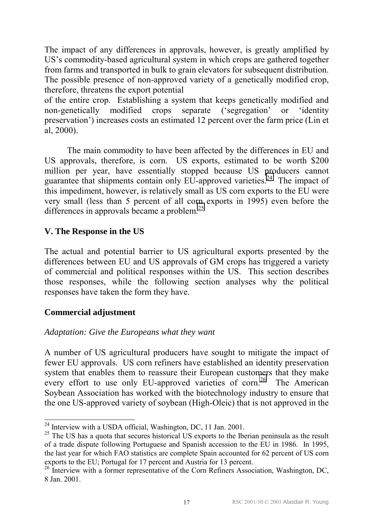The impact of any differences in approvals, however, is greatly amplified by US's commodity-based agricultural system in which crops are gathered together from farms and transported in bulk to grain elevators for subsequent distribution. The possible presence of non-approved variety of a genetically modified crop, therefore, threatens the export potential

of the entire crop. Establishing a system that keeps genetically modified and non-genetically modified crops separate ('segregation' or 'identity preservation<sup>'</sup>) increases costs an estimated 12 percent over the farm price (Lin et al, 2000).

The main commodity to have been affected by the differences in EU and US approvals, therefore, is corn. US exports, estimated to be worth \$200 million per year, have essentially stopped because US producers cannot guarantee that shipments contain only  $E\overline{U}$ -approved varieties.<sup>24</sup> The impact of this impediment, however, is relatively small as US corn exports to the EU were very small (less than 5 percent of all corn exports in 1995) even before the differences in approvals became a problem.<sup>25</sup>

## **V. The Response in the US**

The actual and potential barrier to US agricultural exports presented by the differences between EU and US approvals of GM crops has triggered a variety of commercial and political responses within the US. This section describes those responses, while the following section analyses why the political responses have taken the form they have.

## **Commercial adjustment**

 $\overline{a}$ 

## *Adaptation: Give the Europeans what they want*

A number of US agricultural producers have sought to mitigate the impact of fewer EU approvals. US corn refiners have established an identity preservation system that enables them to reassure their European customers that they make every effort to use only EU-approved varieties of corn.<sup>26</sup> The American Soybean Association has worked with the biotechnology industry to ensure that the one US-approved variety of soybean (High-Oleic) that is not approved in the

 $^{24}$  Interview with a USDA official, Washington, DC, 11 Jan. 2001.

 $25$  The US has a quota that secures historical US exports to the Iberian peninsula as the result of a trade dispute following Portuguese and Spanish accession to the EU in 1986. In 1995, the last year for which FAO statistics are complete Spain accounted for 62 percent of US corn exports to the EU; Portugal for 17 percent and Austria for 13 percent.

<sup>&</sup>lt;sup>26</sup> Interview with a former representative of the Corn Refiners Association, Washington, DC, 8 Jan. 2001.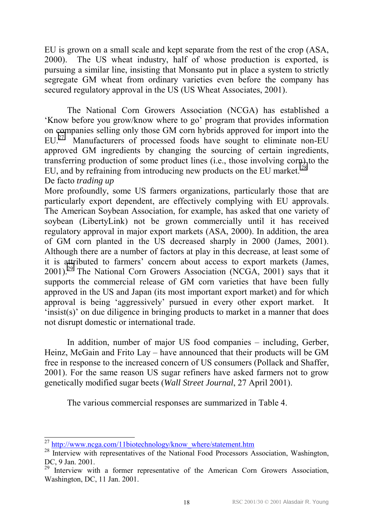EU is grown on a small scale and kept separate from the rest of the crop (ASA, 2000). The US wheat industry, half of whose production is exported, is pursuing a similar line, insisting that Monsanto put in place a system to strictly segregate GM wheat from ordinary varieties even before the company has secured regulatory approval in the US (US Wheat Associates, 2001).

The National Corn Growers Association (NCGA) has established a Know before you grow/know where to go' program that provides information on companies selling only those GM corn hybrids approved for import into the  $EU<sup>27</sup>$  Manufacturers of processed foods have sought to eliminate non-EU approved GM ingredients by changing the sourcing of certain ingredients, transferring production of some product lines (i.e., those involving corn) to the EU, and by refraining from introducing new products on the EU market.<sup>28</sup>

De facto *trading up* 

More profoundly, some US farmers organizations, particularly those that are particularly export dependent, are effectively complying with EU approvals. The American Soybean Association, for example, has asked that one variety of soybean (LibertyLink) not be grown commercially until it has received regulatory approval in major export markets (ASA, 2000). In addition, the area of GM corn planted in the US decreased sharply in 2000 (James, 2001). Although there are a number of factors at play in this decrease, at least some of it is attributed to farmers' concern about access to export markets (James,  $2001$ <sup>29</sup> The National Corn Growers Association (NCGA, 2001) says that it supports the commercial release of GM corn varieties that have been fully approved in the US and Japan (its most important export market) and for which approval is being 'aggressively' pursued in every other export market. It  $'$ insist(s)' on due diligence in bringing products to market in a manner that does not disrupt domestic or international trade.

In addition, number of major US food companies – including, Gerber, Heinz, McGain and Frito Lay  $-$  have announced that their products will be GM free in response to the increased concern of US consumers (Pollack and Shaffer, 2001). For the same reason US sugar refiners have asked farmers not to grow genetically modified sugar beets (*Wall Street Journal*, 27 April 2001).

The various commercial responses are summarized in Table 4.

<sup>&</sup>lt;sup>27</sup> http://www.ncga.com/11biotechnology/know where/statement.htm

<sup>&</sup>lt;sup>28</sup> Interview with representatives of the National Food Processors Association, Washington, DC, 9 Jan. 2001.

 $29$  Interview with a former representative of the American Corn Growers Association, Washington, DC, 11 Jan. 2001.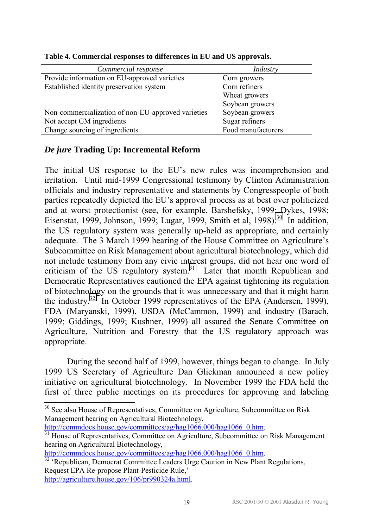| Commercial response                                | Industry           |
|----------------------------------------------------|--------------------|
| Provide information on EU-approved varieties       | Corn growers       |
| Established identity preservation system           | Corn refiners      |
|                                                    | Wheat growers      |
|                                                    | Soybean growers    |
| Non-commercialization of non-EU-approved varieties | Soybean growers    |
| Not accept GM ingredients                          | Sugar refiners     |
| Change sourcing of ingredients                     | Food manufacturers |
|                                                    |                    |

**Table 4. Commercial responses to differences in EU and US approvals.** 

#### *De jure* **Trading Up: Incremental Reform**

The initial US response to the EU's new rules was incomprehension and irritation. Until mid-1999 Congressional testimony by Clinton Administration officials and industry representative and statements by Congresspeople of both parties repeatedly depicted the EU's approval process as at best over politicized and at worst protectionist (see, for example, Barshefsky, 1999; Dykes, 1998; Eisenstat, 1999, Johnson, 1999; Lugar, 1999, Smith et al, 1998).<sup>30</sup> In addition, the US regulatory system was generally up-held as appropriate, and certainly adequate. The 3 March 1999 hearing of the House Committee on Agriculture's Subcommittee on Risk Management about agricultural biotechnology, which did not include testimony from any civic interest groups, did not hear one word of criticism of the US regulatory system.<sup>31</sup> Later that month Republican and Democratic Representatives cautioned the EPA against tightening its regulation of biotechnology on the grounds that it was unnecessary and that it might harm the industry.<sup>32</sup> In October 1999 representatives of the EPA (Andersen, 1999), FDA (Maryanski, 1999), USDA (McCammon, 1999) and industry (Barach, 1999; Giddings, 1999; Kushner, 1999) all assured the Senate Committee on Agriculture, Nutrition and Forestry that the US regulatory approach was appropriate.

 During the second half of 1999, however, things began to change. In July 1999 US Secretary of Agriculture Dan Glickman announced a new policy initiative on agricultural biotechnology. In November 1999 the FDA held the first of three public meetings on its procedures for approving and labeling

l

http://commdocs.house.gov/committees/ag/hag1066.000/hag1066\_0.htm.<br><sup>32</sup> 'Republican, Democrat Committee Leaders Urge Caution in New Plant Regulations, Request EPA Re-propose Plant-Pesticide Rule,' http://agriculture.house.gov/106/pr990324a.html.

 $30$  See also House of Representatives, Committee on Agriculture, Subcommittee on Risk Management hearing on Agricultural Biotechnology,

http://commdocs.house.gov/committees/ag/hag1066.000/hag1066\_0.htm.<br><sup>31</sup> House of Representatives, Committee on Agriculture, Subcommittee on Risk Management hearing on Agricultural Biotechnology,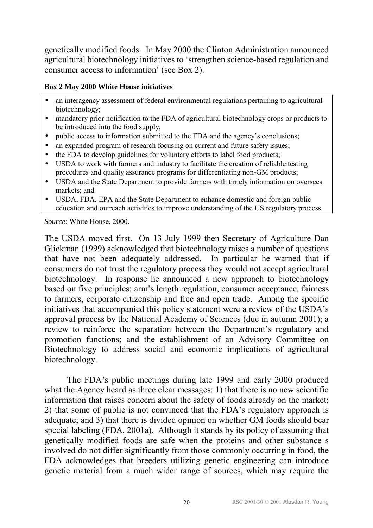genetically modified foods. In May 2000 the Clinton Administration announced agricultural biotechnology initiatives to ëstrengthen science-based regulation and consumer access to information' (see Box 2).

#### **Box 2 May 2000 White House initiatives**

- an interagency assessment of federal environmental regulations pertaining to agricultural biotechnology;
- mandatory prior notification to the FDA of agricultural biotechnology crops or products to be introduced into the food supply;
- public access to information submitted to the FDA and the agency's conclusions;
- an expanded program of research focusing on current and future safety issues;
- the FDA to develop guidelines for voluntary efforts to label food products;
- USDA to work with farmers and industry to facilitate the creation of reliable testing procedures and quality assurance programs for differentiating non-GM products;
- USDA and the State Department to provide farmers with timely information on oversees markets; and
- USDA, FDA, EPA and the State Department to enhance domestic and foreign public education and outreach activities to improve understanding of the US regulatory process.

*Source*: White House, 2000.

The USDA moved first. On 13 July 1999 then Secretary of Agriculture Dan Glickman (1999) acknowledged that biotechnology raises a number of questions that have not been adequately addressed. In particular he warned that if consumers do not trust the regulatory process they would not accept agricultural biotechnology. In response he announced a new approach to biotechnology based on five principles: arm's length regulation, consumer acceptance, fairness to farmers, corporate citizenship and free and open trade. Among the specific initiatives that accompanied this policy statement were a review of the USDA's approval process by the National Academy of Sciences (due in autumn 2001); a review to reinforce the separation between the Department's regulatory and promotion functions; and the establishment of an Advisory Committee on Biotechnology to address social and economic implications of agricultural biotechnology.

The FDA's public meetings during late 1999 and early 2000 produced what the Agency heard as three clear messages: 1) that there is no new scientific information that raises concern about the safety of foods already on the market; 2) that some of public is not convinced that the FDA's regulatory approach is adequate; and 3) that there is divided opinion on whether GM foods should bear special labeling (FDA, 2001a). Although it stands by its policy of assuming that genetically modified foods are safe when the proteins and other substance s involved do not differ significantly from those commonly occurring in food, the FDA acknowledges that breeders utilizing genetic engineering can introduce genetic material from a much wider range of sources, which may require the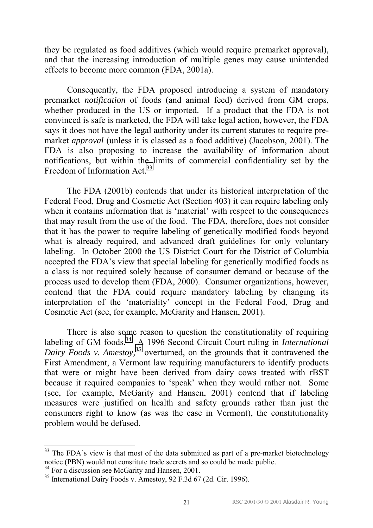they be regulated as food additives (which would require premarket approval), and that the increasing introduction of multiple genes may cause unintended effects to become more common (FDA, 2001a).

Consequently, the FDA proposed introducing a system of mandatory premarket *notification* of foods (and animal feed) derived from GM crops, whether produced in the US or imported. If a product that the FDA is not convinced is safe is marketed, the FDA will take legal action, however, the FDA says it does not have the legal authority under its current statutes to require premarket *approval* (unless it is classed as a food additive) (Jacobson, 2001). The FDA is also proposing to increase the availability of information about notifications, but within the limits of commercial confidentiality set by the Freedom of Information Act.<sup>33</sup>

The FDA (2001b) contends that under its historical interpretation of the Federal Food, Drug and Cosmetic Act (Section 403) it can require labeling only when it contains information that is 'material' with respect to the consequences that may result from the use of the food. The FDA, therefore, does not consider that it has the power to require labeling of genetically modified foods beyond what is already required, and advanced draft guidelines for only voluntary labeling. In October 2000 the US District Court for the District of Columbia accepted the FDA's view that special labeling for genetically modified foods as a class is not required solely because of consumer demand or because of the process used to develop them (FDA, 2000). Consumer organizations, however, contend that the FDA could require mandatory labeling by changing its interpretation of the 'materiality' concept in the Federal Food, Drug and Cosmetic Act (see, for example, McGarity and Hansen, 2001).

There is also some reason to question the constitutionality of requiring labeling of GM foods.<sup>34</sup> A 1996 Second Circuit Court ruling in *International Dairy Foods v. Amestoy,<sup>35</sup>* overturned, on the grounds that it contravened the First Amendment, a Vermont law requiring manufacturers to identify products that were or might have been derived from dairy cows treated with rBST because it required companies to 'speak' when they would rather not. Some (see, for example, McGarity and Hansen, 2001) contend that if labeling measures were justified on health and safety grounds rather than just the consumers right to know (as was the case in Vermont), the constitutionality problem would be defused.

l

 $33$  The FDA's view is that most of the data submitted as part of a pre-market biotechnology notice (PBN) would not constitute trade secrets and so could be made public.

<sup>&</sup>lt;sup>34</sup> For a discussion see McGarity and Hansen, 2001.

<sup>35</sup> International Dairy Foods v. Amestoy, 92 F.3d 67 (2d. Cir. 1996).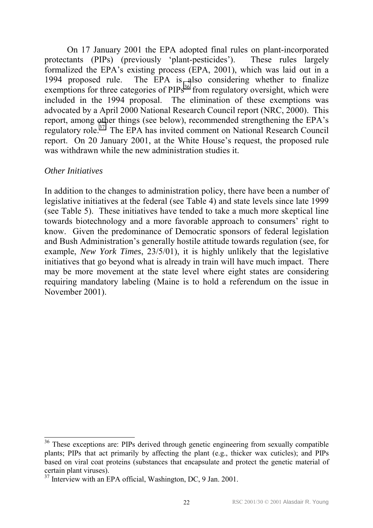On 17 January 2001 the EPA adopted final rules on plant-incorporated protectants (PIPs) (previously 'plant-pesticides'). These rules largely formalized the EPA's existing process (EPA, 2001), which was laid out in a 1994 proposed rule. The EPA is also considering whether to finalize exemptions for three categories of  $PIPs<sup>36</sup>$  from regulatory oversight, which were included in the 1994 proposal. The elimination of these exemptions was advocated by a April 2000 National Research Council report (NRC, 2000). This report, among other things (see below), recommended strengthening the EPA's regulatory role.37 The EPA has invited comment on National Research Council report. On 20 January 2001, at the White House's request, the proposed rule was withdrawn while the new administration studies it.

#### *Other Initiatives*

 $\overline{a}$ 

In addition to the changes to administration policy, there have been a number of legislative initiatives at the federal (see Table 4) and state levels since late 1999 (see Table 5). These initiatives have tended to take a much more skeptical line towards biotechnology and a more favorable approach to consumers' right to know. Given the predominance of Democratic sponsors of federal legislation and Bush Administration's generally hostile attitude towards regulation (see, for example, *New York Times*, 23/5/01), it is highly unlikely that the legislative initiatives that go beyond what is already in train will have much impact. There may be more movement at the state level where eight states are considering requiring mandatory labeling (Maine is to hold a referendum on the issue in November 2001).

<sup>&</sup>lt;sup>36</sup> These exceptions are: PIPs derived through genetic engineering from sexually compatible plants; PIPs that act primarily by affecting the plant (e.g., thicker wax cuticles); and PIPs based on viral coat proteins (substances that encapsulate and protect the genetic material of certain plant viruses).

 $37$  Interview with an EPA official, Washington, DC, 9 Jan. 2001.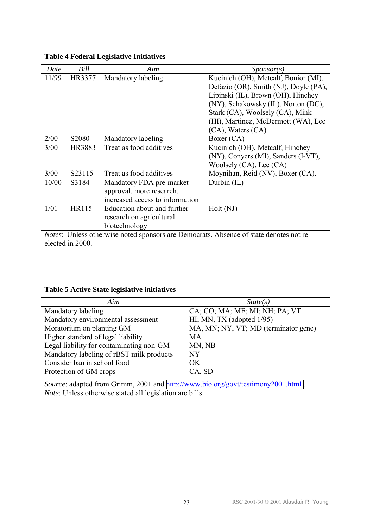| Date                                                                                           | Bill              | Aim                             | $S_{\text{ponsor}}(s)$                |
|------------------------------------------------------------------------------------------------|-------------------|---------------------------------|---------------------------------------|
| 11/99                                                                                          | HR3377            | Mandatory labeling              | Kucinich (OH), Metcalf, Bonior (MI),  |
|                                                                                                |                   |                                 | Defazio (OR), Smith (NJ), Doyle (PA), |
|                                                                                                |                   |                                 | Lipinski (IL), Brown (OH), Hinchey    |
|                                                                                                |                   |                                 | (NY), Schakowsky (IL), Norton (DC),   |
|                                                                                                |                   |                                 | Stark (CA), Woolsely (CA), Mink       |
|                                                                                                |                   |                                 | (HI), Martinez, McDermott (WA), Lee   |
|                                                                                                |                   |                                 | (CA), Waters (CA)                     |
| 2/00                                                                                           | S <sub>2080</sub> | Mandatory labeling              | Boxer (CA)                            |
| 3/00                                                                                           | <b>HR3883</b>     | Treat as food additives         | Kucinich (OH), Metcalf, Hinchey       |
|                                                                                                |                   |                                 | (NY), Conyers (MI), Sanders (I-VT),   |
|                                                                                                |                   |                                 | Woolsely (CA), Lee (CA)               |
| 3/00                                                                                           | S23115            | Treat as food additives         | Moynihan, Reid (NV), Boxer (CA).      |
| 10/00                                                                                          | S3184             | Mandatory FDA pre-market        | Durbin (IL)                           |
|                                                                                                |                   | approval, more research,        |                                       |
|                                                                                                |                   | increased access to information |                                       |
| 1/01                                                                                           | <b>HR115</b>      | Education about and further     | Holt (NJ)                             |
|                                                                                                |                   | research on agricultural        |                                       |
|                                                                                                |                   | biotechnology                   |                                       |
| <i>Notes</i> : Unless otherwise noted sponsors are Democrats. Absence of state denotes not re- |                   |                                 |                                       |

#### **Table 4 Federal Legislative Initiatives**

elected in 2000.

#### **Table 5 Active State legislative initiatives**

| Aim                                      | State(s)                             |
|------------------------------------------|--------------------------------------|
| Mandatory labeling                       | CA; CO; MA; ME; MI; NH; PA; VT       |
| Mandatory environmental assessment       | HI; MN, TX (adopted $1/95$ )         |
| Moratorium on planting GM                | MA, MN; NY, VT; MD (terminator gene) |
| Higher standard of legal liability       | <b>MA</b>                            |
| Legal liability for contaminating non-GM | MN, NB                               |
| Mandatory labeling of rBST milk products | <b>NY</b>                            |
| Consider ban in school food              | OK                                   |
| Protection of GM crops                   | CA, SD                               |

*Source*: adapted from Grimm, 2001 and http://www.bio.org/govt/testimony2001.html. *Note*: Unless otherwise stated all legislation are bills.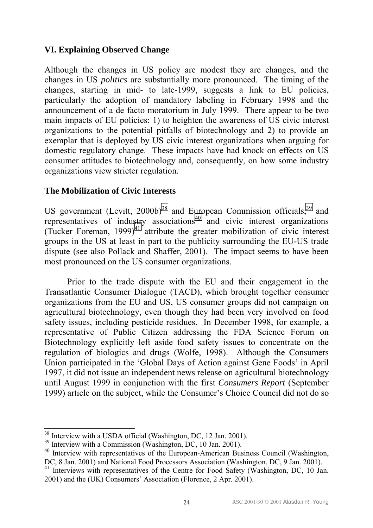#### **VI. Explaining Observed Change**

Although the changes in US policy are modest they are changes, and the changes in US *politics* are substantially more pronounced. The timing of the changes, starting in mid- to late-1999, suggests a link to EU policies, particularly the adoption of mandatory labeling in February 1998 and the announcement of a de facto moratorium in July 1999. There appear to be two main impacts of EU policies: 1) to heighten the awareness of US civic interest organizations to the potential pitfalls of biotechnology and 2) to provide an exemplar that is deployed by US civic interest organizations when arguing for domestic regulatory change. These impacts have had knock on effects on US consumer attitudes to biotechnology and, consequently, on how some industry organizations view stricter regulation.

#### **The Mobilization of Civic Interests**

US government (Levitt,  $2000b)^{38}$  and European Commission officials,<sup>39</sup> and representatives of industry associations<sup>40</sup> and civic interest organizations (Tucker Foreman,  $1999$ )<sup>41</sup> attribute the greater mobilization of civic interest groups in the US at least in part to the publicity surrounding the EU-US trade dispute (see also Pollack and Shaffer, 2001). The impact seems to have been most pronounced on the US consumer organizations.

Prior to the trade dispute with the EU and their engagement in the Transatlantic Consumer Dialogue (TACD), which brought together consumer organizations from the EU and US, US consumer groups did not campaign on agricultural biotechnology, even though they had been very involved on food safety issues, including pesticide residues. In December 1998, for example, a representative of Public Citizen addressing the FDA Science Forum on Biotechnology explicitly left aside food safety issues to concentrate on the regulation of biologics and drugs (Wolfe, 1998). Although the Consumers Union participated in the 'Global Days of Action against Gene Foods' in April 1997, it did not issue an independent news release on agricultural biotechnology until August 1999 in conjunction with the first *Consumers Report* (September 1999) article on the subject, while the Consumer's Choice Council did not do so

<sup>&</sup>lt;sup>38</sup> Interview with a USDA official (Washington, DC, 12 Jan. 2001).

 $39$  Interview with a Commission (Washington, DC, 10 Jan. 2001).

<sup>&</sup>lt;sup>40</sup> Interview with representatives of the European-American Business Council (Washington, DC, 8 Jan. 2001) and National Food Processors Association (Washington, DC, 9 Jan. 2001).

<sup>&</sup>lt;sup>41</sup> Interviews with representatives of the Centre for Food Safety (Washington, DC, 10 Jan. 2001) and the (UK) Consumers' Association (Florence, 2 Apr. 2001).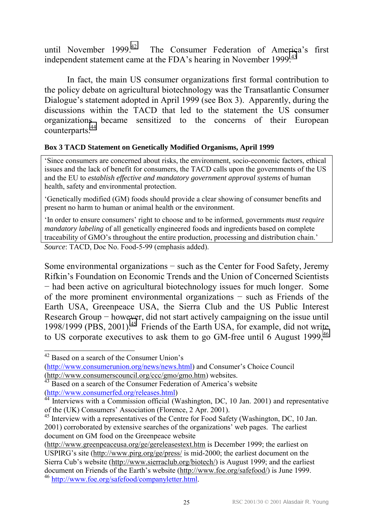until November 1999.<sup>42</sup> The Consumer Federation of America's first independent statement came at the FDA's hearing in November 1999.<sup>43</sup>

In fact, the main US consumer organizations first formal contribution to the policy debate on agricultural biotechnology was the Transatlantic Consumer Dialogue's statement adopted in April 1999 (see Box 3). Apparently, during the discussions within the TACD that led to the statement the US consumer organizations became sensitized to the concerns of their European counterparts.<sup>44</sup>

#### **Box 3 TACD Statement on Genetically Modified Organisms, April 1999**

ëSince consumers are concerned about risks, the environment, socio-economic factors, ethical issues and the lack of benefit for consumers, the TACD calls upon the governments of the US and the EU to *establish effective and mandatory government approval systems* of human health, safety and environmental protection.

ëGenetically modified (GM) foods should provide a clear showing of consumer benefits and present no harm to human or animal health or the environment.

ëIn order to ensure consumersí right to choose and to be informed, governments *must require mandatory labeling* of all genetically engineered foods and ingredients based on complete traceability of GMO's throughout the entire production, processing and distribution chain. *Source*: TACD, Doc No. Food-5-99 (emphasis added).

Some environmental organizations − such as the Center for Food Safety, Jeremy Rifkin's Foundation on Economic Trends and the Union of Concerned Scientists − had been active on agricultural biotechnology issues for much longer. Some of the more prominent environmental organizations − such as Friends of the Earth USA, Greenpeace USA, the Sierra Club and the US Public Interest Research Group − however, did not start actively campaigning on the issue until 1998/1999 (PBS,  $2001$ )<sup>45</sup> Friends of the Earth USA, for example, did not write to US corporate executives to ask them to go GM-free until  $6$  August 1999.<sup>46</sup>

l

 $42$  Based on a search of the Consumer Union's (http://www.consumerunion.org/news/news.html) and Consumer's Choice Council (http://www.consumerscouncil.org/ccc/gmo/gmo.htm) websites.

 $43$  Based on a search of the Consumer Federation of America's website (http://www.consumerfed.org/releases.html)

<sup>&</sup>lt;sup>44</sup> Interviews with a Commission official (Washington, DC, 10 Jan. 2001) and representative of the (UK) Consumers' Association (Florence, 2 Apr. 2001).

<sup>&</sup>lt;sup>45</sup> Interview with a representatives of the Centre for Food Safety (Washington, DC, 10 Jan. 2001) corroborated by extensive searches of the organizations' web pages. The earliest document on GM food on the Greenpeace website

<sup>(</sup>http://www.greenpeaceusa.org/ge/gereleasestext.htm is December 1999; the earliest on USPIRG's site (http://www.pirg.org/ge/press/ is mid-2000; the earliest document on the Sierra Cub's website (http://www.sierraclub.org/biotech/) is August 1999; and the earliest document on Friends of the Earth's website (http://www.foe.org/safefood/) is June 1999. <sup>46</sup> http://www.foe.org/safefood/companyletter.html.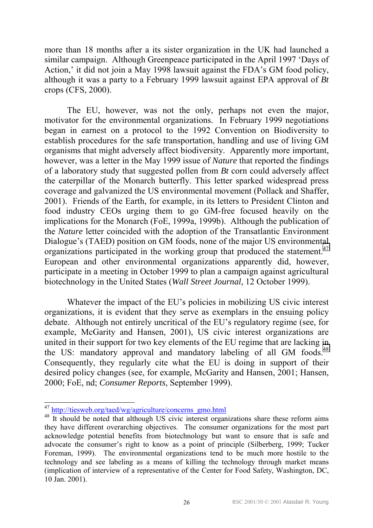more than 18 months after a its sister organization in the UK had launched a similar campaign. Although Greenpeace participated in the April 1997 'Days of Action,' it did not join a May 1998 lawsuit against the FDA's GM food policy, although it was a party to a February 1999 lawsuit against EPA approval of *Bt* crops (CFS, 2000).

The EU, however, was not the only, perhaps not even the major, motivator for the environmental organizations. In February 1999 negotiations began in earnest on a protocol to the 1992 Convention on Biodiversity to establish procedures for the safe transportation, handling and use of living GM organisms that might adversely affect biodiversity. Apparently more important, however, was a letter in the May 1999 issue of *Nature* that reported the findings of a laboratory study that suggested pollen from *Bt* corn could adversely affect the caterpillar of the Monarch butterfly. This letter sparked widespread press coverage and galvanized the US environmental movement (Pollack and Shaffer, 2001). Friends of the Earth, for example, in its letters to President Clinton and food industry CEOs urging them to go GM-free focused heavily on the implications for the Monarch (FoE, 1999a, 1999b). Although the publication of the *Nature* letter coincided with the adoption of the Transatlantic Environment Dialogue's (TAED) position on GM foods, none of the major US environmental organizations participated in the working group that produced the statement.<sup>47</sup> European and other environmental organizations apparently did, however, participate in a meeting in October 1999 to plan a campaign against agricultural biotechnology in the United States (*Wall Street Journal*, 12 October 1999).

Whatever the impact of the EU's policies in mobilizing US civic interest organizations, it is evident that they serve as exemplars in the ensuing policy debate. Although not entirely uncritical of the EU's regulatory regime (see, for example, McGarity and Hansen, 2001), US civic interest organizations are united in their support for two key elements of the EU regime that are lacking in the US: mandatory approval and mandatory labeling of all GM foods.<sup>48</sup> Consequently, they regularly cite what the EU is doing in support of their desired policy changes (see, for example, McGarity and Hansen, 2001; Hansen, 2000; FoE, nd; *Consumer Reports*, September 1999).

l

<sup>&</sup>lt;sup>47</sup> http://tiesweb.org/taed/wg/agriculture/concerns\_gmo.html

<sup>&</sup>lt;sup>48</sup> It should be noted that although US civic interest organizations share these reform aims they have different overarching objectives. The consumer organizations for the most part acknowledge potential benefits from biotechnology but want to ensure that is safe and advocate the consumer's right to know as a point of principle (Silberberg, 1999; Tucker Foreman, 1999). The environmental organizations tend to be much more hostile to the technology and see labeling as a means of killing the technology through market means (implication of interview of a representative of the Center for Food Safety, Washington, DC, 10 Jan. 2001).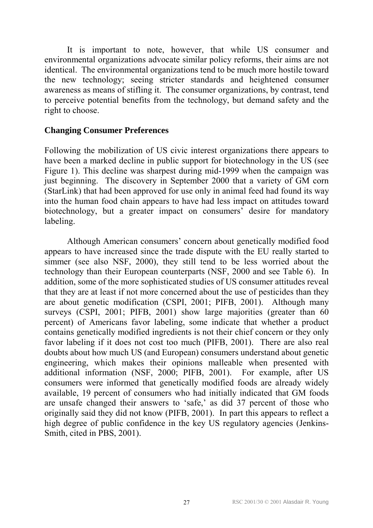It is important to note, however, that while US consumer and environmental organizations advocate similar policy reforms, their aims are not identical. The environmental organizations tend to be much more hostile toward the new technology; seeing stricter standards and heightened consumer awareness as means of stifling it. The consumer organizations, by contrast, tend to perceive potential benefits from the technology, but demand safety and the right to choose.

#### **Changing Consumer Preferences**

Following the mobilization of US civic interest organizations there appears to have been a marked decline in public support for biotechnology in the US (see Figure 1). This decline was sharpest during mid-1999 when the campaign was just beginning. The discovery in September 2000 that a variety of GM corn (StarLink) that had been approved for use only in animal feed had found its way into the human food chain appears to have had less impact on attitudes toward biotechnology, but a greater impact on consumers' desire for mandatory labeling.

Although American consumers' concern about genetically modified food appears to have increased since the trade dispute with the EU really started to simmer (see also NSF, 2000), they still tend to be less worried about the technology than their European counterparts (NSF, 2000 and see Table 6). In addition, some of the more sophisticated studies of US consumer attitudes reveal that they are at least if not more concerned about the use of pesticides than they are about genetic modification (CSPI, 2001; PIFB, 2001). Although many surveys (CSPI, 2001; PIFB, 2001) show large majorities (greater than 60 percent) of Americans favor labeling, some indicate that whether a product contains genetically modified ingredients is not their chief concern or they only favor labeling if it does not cost too much (PIFB, 2001). There are also real doubts about how much US (and European) consumers understand about genetic engineering, which makes their opinions malleable when presented with additional information (NSF, 2000; PIFB, 2001). For example, after US consumers were informed that genetically modified foods are already widely available, 19 percent of consumers who had initially indicated that GM foods are unsafe changed their answers to 'safe,' as did 37 percent of those who originally said they did not know (PIFB, 2001). In part this appears to reflect a high degree of public confidence in the key US regulatory agencies (Jenkins-Smith, cited in PBS, 2001).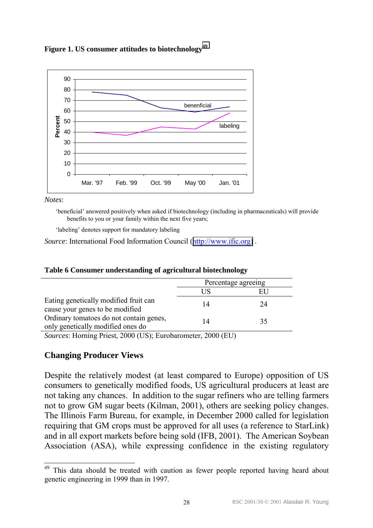

**Figure 1. US consumer attitudes to biotechnology<sup>49</sup>**

*Notes*:

ëbeneficialí answered positively when asked if biotechnology (including in pharmaceuticals) will provide benefits to you or your family within the next five years;

'labeling' denotes support for mandatory labeling

*Source*: International Food Information Council ([http://www.ific.org\)](http://www.ific.org/) .

|                                                                              | Percentage agreeing |    |
|------------------------------------------------------------------------------|---------------------|----|
|                                                                              | US                  |    |
| Eating genetically modified fruit can<br>cause your genes to be modified     | 14                  | 24 |
| Ordinary tomatoes do not contain genes,<br>only genetically modified ones do | 14                  | 35 |

#### **Table 6 Consumer understanding of agricultural biotechnology**

*Sources*: Horning Priest, 2000 (US); Eurobarometer, 2000 (EU)

#### **Changing Producer Views**

Despite the relatively modest (at least compared to Europe) opposition of US consumers to genetically modified foods, US agricultural producers at least are not taking any chances. In addition to the sugar refiners who are telling farmers not to grow GM sugar beets (Kilman, 2001), others are seeking policy changes. The Illinois Farm Bureau, for example, in December 2000 called for legislation requiring that GM crops must be approved for all uses (a reference to StarLink) and in all export markets before being sold (IFB, 2001). The American Soybean Association (ASA), while expressing confidence in the existing regulatory

<sup>49</sup> This data should be treated with caution as fewer people reported having heard about genetic engineering in 1999 than in 1997.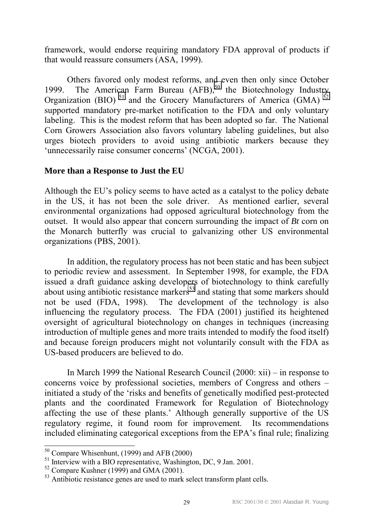framework, would endorse requiring mandatory FDA approval of products if that would reassure consumers (ASA, 1999).

Others favored only modest reforms, and even then only since October 1999. The American Farm Bureau  $(AFB)$ ,<sup>50</sup> the Biotechnology Industry Organization (BIO)<sup>51</sup> and the Grocery Manufacturers of America (GMA)<sup>52</sup> supported mandatory pre-market notification to the FDA and only voluntary labeling. This is the modest reform that has been adopted so far. The National Corn Growers Association also favors voluntary labeling guidelines, but also urges biotech providers to avoid using antibiotic markers because they 'unnecessarily raise consumer concerns' (NCGA, 2001).

#### **More than a Response to Just the EU**

Although the EU's policy seems to have acted as a catalyst to the policy debate in the US, it has not been the sole driver. As mentioned earlier, several environmental organizations had opposed agricultural biotechnology from the outset. It would also appear that concern surrounding the impact of *Bt* corn on the Monarch butterfly was crucial to galvanizing other US environmental organizations (PBS, 2001).

 In addition, the regulatory process has not been static and has been subject to periodic review and assessment. In September 1998, for example, the FDA issued a draft guidance asking developers of biotechnology to think carefully about using antibiotic resistance markers<sup>53</sup> and stating that some markers should not be used (FDA, 1998). The development of the technology is also influencing the regulatory process. The FDA (2001) justified its heightened oversight of agricultural biotechnology on changes in techniques (increasing introduction of multiple genes and more traits intended to modify the food itself) and because foreign producers might not voluntarily consult with the FDA as US-based producers are believed to do.

In March 1999 the National Research Council  $(2000: xii)$  – in response to concerns voice by professional societies, members of Congress and others  $$ initiated a study of the ërisks and benefits of genetically modified pest-protected plants and the coordinated Framework for Regulation of Biotechnology affecting the use of these plants. Although generally supportive of the US regulatory regime, it found room for improvement. Its recommendations included eliminating categorical exceptions from the EPA's final rule; finalizing

l

 $50$  Compare Whisenhunt, (1999) and AFB (2000)

 $<sup>51</sup>$  Interview with a BIO representative, Washington, DC, 9 Jan. 2001.</sup>

 $52$  Compare Kushner (1999) and GMA (2001).

<sup>&</sup>lt;sup>53</sup> Antibiotic resistance genes are used to mark select transform plant cells.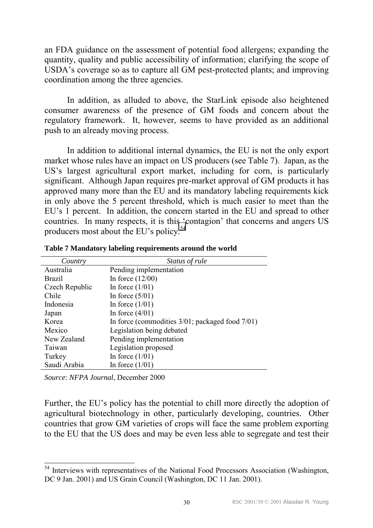an FDA guidance on the assessment of potential food allergens; expanding the quantity, quality and public accessibility of information; clarifying the scope of USDA's coverage so as to capture all GM pest-protected plants; and improving coordination among the three agencies.

In addition, as alluded to above, the StarLink episode also heightened consumer awareness of the presence of GM foods and concern about the regulatory framework. It, however, seems to have provided as an additional push to an already moving process.

In addition to additional internal dynamics, the EU is not the only export market whose rules have an impact on US producers (see Table 7). Japan, as the US's largest agricultural export market, including for corn, is particularly significant. Although Japan requires pre-market approval of GM products it has approved many more than the EU and its mandatory labeling requirements kick in only above the 5 percent threshold, which is much easier to meet than the EU's 1 percent. In addition, the concern started in the EU and spread to other countries. In many respects, it is this 'contagion' that concerns and angers US producers most about the EU's policy.<sup>54</sup>

| Country        | Status of rule                                        |
|----------------|-------------------------------------------------------|
| Australia      | Pending implementation                                |
| <b>Brazil</b>  | In force $(12/00)$                                    |
| Czech Republic | In force $(1/01)$                                     |
| Chile          | In force $(5/01)$                                     |
| Indonesia      | In force $(1/01)$                                     |
| Japan          | In force $(4/01)$                                     |
| Korea          | In force (commodities $3/01$ ; packaged food $7/01$ ) |
| Mexico         | Legislation being debated                             |
| New Zealand    | Pending implementation                                |
| Taiwan         | Legislation proposed                                  |
| Turkey         | In force $(1/01)$                                     |
| Saudi Arabia   | In force $(1/01)$                                     |
|                |                                                       |

**Table 7 Mandatory labeling requirements around the world** 

*Source*: *NFPA Journal*, December 2000

 $\overline{a}$ 

Further, the EU's policy has the potential to chill more directly the adoption of agricultural biotechnology in other, particularly developing, countries. Other countries that grow GM varieties of crops will face the same problem exporting to the EU that the US does and may be even less able to segregate and test their

<sup>&</sup>lt;sup>54</sup> Interviews with representatives of the National Food Processors Association (Washington, DC 9 Jan. 2001) and US Grain Council (Washington, DC 11 Jan. 2001).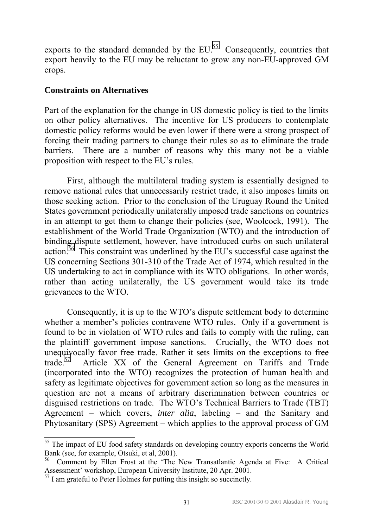exports to the standard demanded by the  $EU^{55}$  Consequently, countries that export heavily to the EU may be reluctant to grow any non-EU-approved GM crops.

#### **Constraints on Alternatives**

Part of the explanation for the change in US domestic policy is tied to the limits on other policy alternatives. The incentive for US producers to contemplate domestic policy reforms would be even lower if there were a strong prospect of forcing their trading partners to change their rules so as to eliminate the trade barriers. There are a number of reasons why this many not be a viable proposition with respect to the EU's rules.

First, although the multilateral trading system is essentially designed to remove national rules that unnecessarily restrict trade, it also imposes limits on those seeking action. Prior to the conclusion of the Uruguay Round the United States government periodically unilaterally imposed trade sanctions on countries in an attempt to get them to change their policies (see, Woolcock, 1991). The establishment of the World Trade Organization (WTO) and the introduction of binding dispute settlement, however, have introduced curbs on such unilateral action.<sup>56</sup> This constraint was underlined by the EU's successful case against the US concerning Sections 301-310 of the Trade Act of 1974, which resulted in the US undertaking to act in compliance with its WTO obligations. In other words, rather than acting unilaterally, the US government would take its trade grievances to the WTO.

Consequently, it is up to the WTO's dispute settlement body to determine whether a member's policies contravene WTO rules. Only if a government is found to be in violation of WTO rules and fails to comply with the ruling, can the plaintiff government impose sanctions. Crucially, the WTO does not unequivocally favor free trade. Rather it sets limits on the exceptions to free trade.57 Article XX of the General Agreement on Tariffs and Trade (incorporated into the WTO) recognizes the protection of human health and safety as legitimate objectives for government action so long as the measures in question are not a means of arbitrary discrimination between countries or disguised restrictions on trade. The WTO's Technical Barriers to Trade (TBT) Agreement – which covers, *inter alia*, labeling – and the Sanitary and Phytosanitary (SPS) Agreement  $-$  which applies to the approval process of GM

<sup>&</sup>lt;sup>55</sup> The impact of EU food safety standards on developing country exports concerns the World Bank (see, for example, Otsuki, et al, 2001).

<sup>56</sup> Comment by Ellen Frost at the ëThe New Transatlantic Agenda at Five:A Critical Assessment' workshop, European University Institute, 20 Apr. 2001.

 $\frac{57}{1}$  I am grateful to Peter Holmes for putting this insight so succinctly.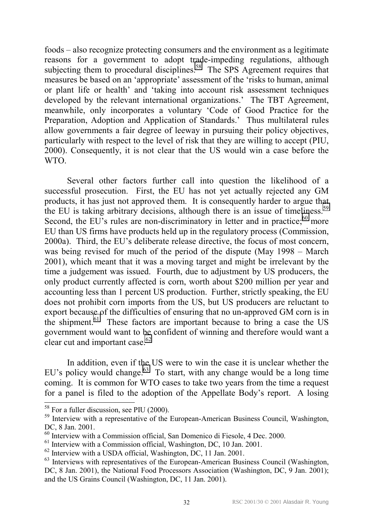foods – also recognize protecting consumers and the environment as a legitimate reasons for a government to adopt trade-impeding regulations, although subjecting them to procedural disciplines.<sup>58</sup> The SPS Agreement requires that measures be based on an 'appropriate' assessment of the 'risks to human, animal or plant life or health' and 'taking into account risk assessment techniques developed by the relevant international organizations.' The TBT Agreement, meanwhile, only incorporates a voluntary 'Code of Good Practice for the Preparation, Adoption and Application of Standards.' Thus multilateral rules allow governments a fair degree of leeway in pursuing their policy objectives, particularly with respect to the level of risk that they are willing to accept (PIU, 2000). Consequently, it is not clear that the US would win a case before the WTO.

Several other factors further call into question the likelihood of a successful prosecution. First, the EU has not yet actually rejected any GM products, it has just not approved them. It is consequently harder to argue that the EU is taking arbitrary decisions, although there is an issue of timeliness.<sup>59</sup> Second, the EU's rules are non-discriminatory in letter and in practice; $60$  more EU than US firms have products held up in the regulatory process (Commission, 2000a). Third, the EU's deliberate release directive, the focus of most concern, was being revised for much of the period of the dispute (May  $1998 - \text{March}$ ) 2001), which meant that it was a moving target and might be irrelevant by the time a judgement was issued. Fourth, due to adjustment by US producers, the only product currently affected is corn, worth about \$200 million per year and accounting less than 1 percent US production. Further, strictly speaking, the EU does not prohibit corn imports from the US, but US producers are reluctant to export because of the difficulties of ensuring that no un-approved GM corn is in the shipment. $61$  These factors are important because to bring a case the US government would want to be confident of winning and therefore would want a clear cut and important case. $62$ 

In addition, even if the US were to win the case it is unclear whether the EU's policy would change.<sup>63</sup> To start, with any change would be a long time coming. It is common for WTO cases to take two years from the time a request for a panel is filed to the adoption of the Appellate Body's report. A losing

l

 $58$  For a fuller discussion, see PIU (2000).

<sup>&</sup>lt;sup>59</sup> Interview with a representative of the European-American Business Council, Washington, DC, 8 Jan. 2001.

 $^{60}$  Interview with a Commission official, San Domenico di Fiesole, 4 Dec. 2000.

<sup>61</sup> Interview with a Commission official, Washington, DC, 10 Jan. 2001.

 $62$  Interview with a USDA official, Washington, DC, 11 Jan. 2001.

<sup>&</sup>lt;sup>63</sup> Interviews with representatives of the European-American Business Council (Washington, DC, 8 Jan. 2001), the National Food Processors Association (Washington, DC, 9 Jan. 2001); and the US Grains Council (Washington, DC, 11 Jan. 2001).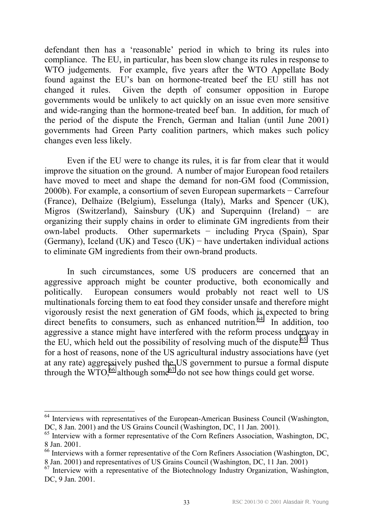defendant then has a 'reasonable' period in which to bring its rules into compliance. The EU, in particular, has been slow change its rules in response to WTO judgements. For example, five years after the WTO Appellate Body found against the EU's ban on hormone-treated beef the EU still has not changed it rules. Given the depth of consumer opposition in Europe governments would be unlikely to act quickly on an issue even more sensitive and wide-ranging than the hormone-treated beef ban. In addition, for much of the period of the dispute the French, German and Italian (until June 2001) governments had Green Party coalition partners, which makes such policy changes even less likely.

Even if the EU were to change its rules, it is far from clear that it would improve the situation on the ground. A number of major European food retailers have moved to meet and shape the demand for non-GM food (Commission, 2000b). For example, a consortium of seven European supermarkets − Carrefour (France), Delhaize (Belgium), Esselunga (Italy), Marks and Spencer (UK), Migros (Switzerland), Sainsbury (UK) and Superquinn (Ireland) − are organizing their supply chains in order to eliminate GM ingredients from their own-label products. Other supermarkets − including Pryca (Spain), Spar (Germany), Iceland (UK) and Tesco (UK) − have undertaken individual actions to eliminate GM ingredients from their own-brand products.

In such circumstances, some US producers are concerned that an aggressive approach might be counter productive, both economically and politically. European consumers would probably not react well to US multinationals forcing them to eat food they consider unsafe and therefore might vigorously resist the next generation of GM foods, which is expected to bring direct benefits to consumers, such as enhanced nutrition.<sup>64</sup> In addition, too aggressive a stance might have interfered with the reform process underway in the EU, which held out the possibility of resolving much of the dispute.<sup>65</sup> Thus for a host of reasons, none of the US agricultural industry associations have (yet at any rate) aggressively pushed the US government to pursue a formal dispute through the WTO,  $^{66}$  although some<sup>67</sup> do not see how things could get worse.

 $64$  Interviews with representatives of the European-American Business Council (Washington, DC, 8 Jan. 2001) and the US Grains Council (Washington, DC, 11 Jan. 2001).

<sup>65</sup> Interview with a former representative of the Corn Refiners Association, Washington, DC, 8 Jan. 2001.

<sup>66</sup> Interviews with a former representative of the Corn Refiners Association (Washington, DC, 8 Jan. 2001) and representatives of US Grains Council (Washington, DC, 11 Jan. 2001)

 $67$  Interview with a representative of the Biotechnology Industry Organization, Washington, DC, 9 Jan. 2001.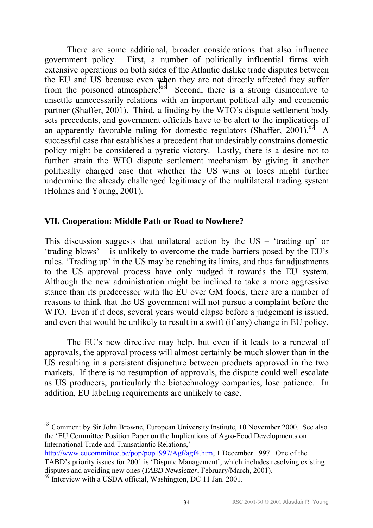There are some additional, broader considerations that also influence government policy. First, a number of politically influential firms with extensive operations on both sides of the Atlantic dislike trade disputes between the EU and US because even when they are not directly affected they suffer from the poisoned atmosphere.<sup>68</sup> Second, there is a strong disincentive to unsettle unnecessarily relations with an important political ally and economic partner (Shaffer, 2001). Third, a finding by the WTO's dispute settlement body sets precedents, and government officials have to be alert to the implications of an apparently favorable ruling for domestic regulators (Shaffer, 2001).<sup>69</sup> A successful case that establishes a precedent that undesirably constrains domestic policy might be considered a pyretic victory. Lastly, there is a desire not to further strain the WTO dispute settlement mechanism by giving it another politically charged case that whether the US wins or loses might further undermine the already challenged legitimacy of the multilateral trading system (Holmes and Young, 2001).

#### **VII. Cooperation: Middle Path or Road to Nowhere?**

This discussion suggests that unilateral action by the  $US - 't$ rading up' or 'trading blows'  $-$  is unlikely to overcome the trade barriers posed by the EU's rules. Trading up in the US may be reaching its limits, and thus far adjustments to the US approval process have only nudged it towards the EU system. Although the new administration might be inclined to take a more aggressive stance than its predecessor with the EU over GM foods, there are a number of reasons to think that the US government will not pursue a complaint before the WTO. Even if it does, several years would elapse before a judgement is issued, and even that would be unlikely to result in a swift (if any) change in EU policy.

The EU's new directive may help, but even if it leads to a renewal of approvals, the approval process will almost certainly be much slower than in the US resulting in a persistent disjuncture between products approved in the two markets. If there is no resumption of approvals, the dispute could well escalate as US producers, particularly the biotechnology companies, lose patience. In addition, EU labeling requirements are unlikely to ease.

<sup>68</sup> Comment by Sir John Browne, European University Institute, 10 November 2000. See also the ëEU Committee Position Paper on the Implications of Agro-Food Developments on International Trade and Transatlantic Relations,'

http://www.eucommittee.be/pop/pop1997/Agf/agf4.htm, 1 December 1997. One of the TABD's priority issues for 2001 is 'Dispute Management', which includes resolving existing disputes and avoiding new ones (*TABD Newsletter*, February/March, 2001).

 $^{69}$  Interview with a USDA official, Washington, DC 11 Jan. 2001.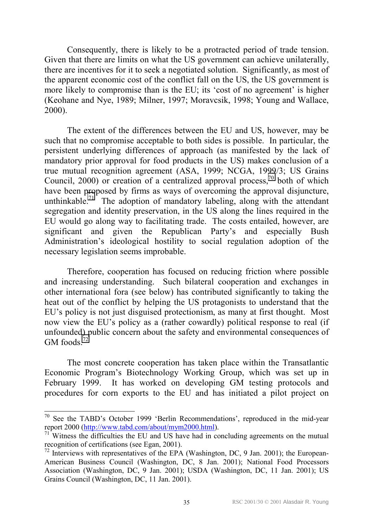Consequently, there is likely to be a protracted period of trade tension. Given that there are limits on what the US government can achieve unilaterally, there are incentives for it to seek a negotiated solution. Significantly, as most of the apparent economic cost of the conflict fall on the US, the US government is more likely to compromise than is the EU; its 'cost of no agreement' is higher (Keohane and Nye, 1989; Milner, 1997; Moravcsik, 1998; Young and Wallace, 2000).

The extent of the differences between the EU and US, however, may be such that no compromise acceptable to both sides is possible. In particular, the persistent underlying differences of approach (as manifested by the lack of mandatory prior approval for food products in the US) makes conclusion of a true mutual recognition agreement (ASA, 1999; NCGA, 1999/3; US Grains Council,  $2000$ ) or creation of a centralized approval process,<sup>70</sup> both of which have been proposed by firms as ways of overcoming the approval disjuncture, unthinkable.<sup>71</sup> The adoption of mandatory labeling, along with the attendant segregation and identity preservation, in the US along the lines required in the EU would go along way to facilitating trade. The costs entailed, however, are significant and given the Republican Party's and especially Bush Administration's ideological hostility to social regulation adoption of the necessary legislation seems improbable.

Therefore, cooperation has focused on reducing friction where possible and increasing understanding. Such bilateral cooperation and exchanges in other international fora (see below) has contributed significantly to taking the heat out of the conflict by helping the US protagonists to understand that the EU's policy is not just disguised protectionism, as many at first thought. Most now view the EU's policy as a (rather cowardly) political response to real (if unfounded) public concern about the safety and environmental consequences of GM foods $^{72}$ 

The most concrete cooperation has taken place within the Transatlantic Economic Program's Biotechnology Working Group, which was set up in February 1999. It has worked on developing GM testing protocols and procedures for corn exports to the EU and has initiated a pilot project on

 $70$  See the TABD's October 1999 'Berlin Recommendations', reproduced in the mid-year report 2000 (http://www.tabd.com/about/mym2000.html).

 $71$  Witness the difficulties the EU and US have had in concluding agreements on the mutual recognition of certifications (see Egan, 2001).

 $^{72}$  Interviews with representatives of the EPA (Washington, DC, 9 Jan. 2001); the European-American Business Council (Washington, DC, 8 Jan. 2001); National Food Processors Association (Washington, DC, 9 Jan. 2001); USDA (Washington, DC, 11 Jan. 2001); US Grains Council (Washington, DC, 11 Jan. 2001).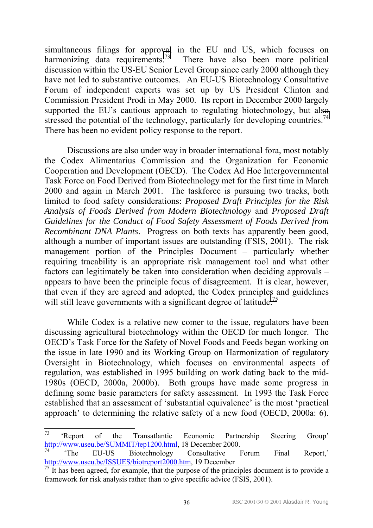simultaneous filings for approval in the EU and US, which focuses on harmonizing data requirements.<sup>73</sup> There have also been more political discussion within the US-EU Senior Level Group since early 2000 although they have not led to substantive outcomes. An EU-US Biotechnology Consultative Forum of independent experts was set up by US President Clinton and Commission President Prodi in May 2000. Its report in December 2000 largely supported the EU's cautious approach to regulating biotechnology, but also stressed the potential of the technology, particularly for developing countries.<sup>74</sup> There has been no evident policy response to the report.

Discussions are also under way in broader international fora, most notably the Codex Alimentarius Commission and the Organization for Economic Cooperation and Development (OECD). The Codex Ad Hoc Intergovernmental Task Force on Food Derived from Biotechnology met for the first time in March 2000 and again in March 2001. The taskforce is pursuing two tracks, both limited to food safety considerations: *Proposed Draft Principles for the Risk Analysis of Foods Derived from Modern Biotechnology* and *Proposed Draft Guidelines for the Conduct of Food Safety Assessment of Foods Derived from Recombinant DNA Plants*. Progress on both texts has apparently been good, although a number of important issues are outstanding (FSIS, 2001). The risk management portion of the Principles Document  $-$  particularly whether requiring tracability is an appropriate risk management tool and what other factors can legitimately be taken into consideration when deciding approvals  $$ appears to have been the principle focus of disagreement. It is clear, however, that even if they are agreed and adopted, the Codex principles and guidelines will still leave governments with a significant degree of latitude.<sup>75</sup>

While Codex is a relative new comer to the issue, regulators have been discussing agricultural biotechnology within the OECD for much longer. The OECDís Task Force for the Safety of Novel Foods and Feeds began working on the issue in late 1990 and its Working Group on Harmonization of regulatory Oversight in Biotechnology, which focuses on environmental aspects of regulation, was established in 1995 building on work dating back to the mid-1980s (OECD, 2000a, 2000b). Both groups have made some progress in defining some basic parameters for safety assessment. In 1993 the Task Force established that an assessment of 'substantial equivalence' is the most 'practical approach' to determining the relative safety of a new food (OECD,  $2000a$ : 6).

<sup>73</sup> 'Report of the Transatlantic Economic Partnership Steering Group' http://www.useu.be/SUMMIT/tep1200.html, 18 December 2000.

The EU-US Biotechnology Consultative Forum Final Report, http://www.useu.be/ISSUES/biotreport2000.htm, 19 December

 $\frac{75}{15}$  It has been agreed, for example, that the purpose of the principles document is to provide a framework for risk analysis rather than to give specific advice (FSIS, 2001).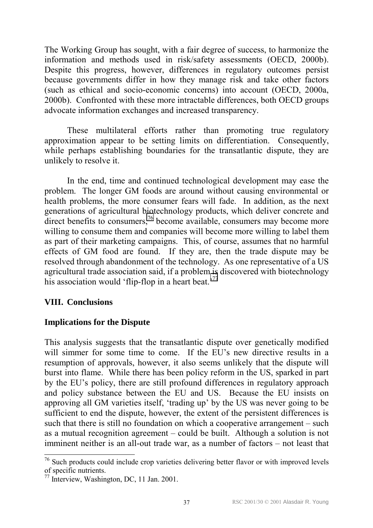The Working Group has sought, with a fair degree of success, to harmonize the information and methods used in risk/safety assessments (OECD, 2000b). Despite this progress, however, differences in regulatory outcomes persist because governments differ in how they manage risk and take other factors (such as ethical and socio-economic concerns) into account (OECD, 2000a, 2000b). Confronted with these more intractable differences, both OECD groups advocate information exchanges and increased transparency.

These multilateral efforts rather than promoting true regulatory approximation appear to be setting limits on differentiation. Consequently, while perhaps establishing boundaries for the transatlantic dispute, they are unlikely to resolve it.

In the end, time and continued technological development may ease the problem. The longer GM foods are around without causing environmental or health problems, the more consumer fears will fade. In addition, as the next generations of agricultural biotechnology products, which deliver concrete and direct benefits to consumers,<sup>76</sup> become available, consumers may become more willing to consume them and companies will become more willing to label them as part of their marketing campaigns. This, of course, assumes that no harmful effects of GM food are found. If they are, then the trade dispute may be resolved through abandonment of the technology. As one representative of a US agricultural trade association said, if a problem is discovered with biotechnology his association would 'flip-flop in a heart beat.<sup> $77$ </sup>

#### **VIII. Conclusions**

#### **Implications for the Dispute**

This analysis suggests that the transatlantic dispute over genetically modified will simmer for some time to come. If the EU's new directive results in a resumption of approvals, however, it also seems unlikely that the dispute will burst into flame. While there has been policy reform in the US, sparked in part by the EU's policy, there are still profound differences in regulatory approach and policy substance between the EU and US. Because the EU insists on approving all GM varieties itself, 'trading up' by the US was never going to be sufficient to end the dispute, however, the extent of the persistent differences is such that there is still no foundation on which a cooperative arrangement  $-$  such as a mutual recognition agreement  $\sim$  could be built. Although a solution is not imminent neither is an all-out trade war, as a number of factors – not least that

 $\overline{a}$  $76$  Such products could include crop varieties delivering better flavor or with improved levels of specific nutrients.

<sup>77</sup> Interview, Washington, DC, 11 Jan. 2001.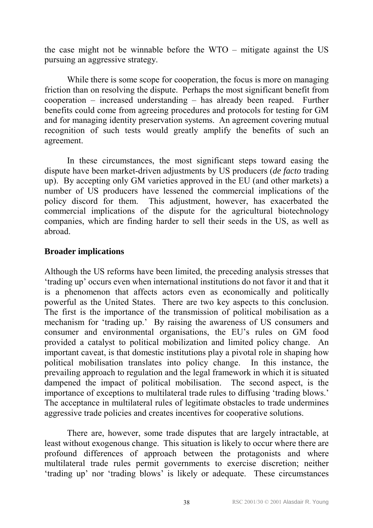the case might not be winnable before the  $WTO$  – mitigate against the US pursuing an aggressive strategy.

 While there is some scope for cooperation, the focus is more on managing friction than on resolving the dispute. Perhaps the most significant benefit from cooperation  $-$  increased understanding  $-$  has already been reaped. Further benefits could come from agreeing procedures and protocols for testing for GM and for managing identity preservation systems. An agreement covering mutual recognition of such tests would greatly amplify the benefits of such an agreement.

In these circumstances, the most significant steps toward easing the dispute have been market-driven adjustments by US producers (*de facto* trading up). By accepting only GM varieties approved in the EU (and other markets) a number of US producers have lessened the commercial implications of the policy discord for them. This adjustment, however, has exacerbated the commercial implications of the dispute for the agricultural biotechnology companies, which are finding harder to sell their seeds in the US, as well as abroad.

#### **Broader implications**

Although the US reforms have been limited, the preceding analysis stresses that 'trading up' occurs even when international institutions do not favor it and that it is a phenomenon that affects actors even as economically and politically powerful as the United States. There are two key aspects to this conclusion. The first is the importance of the transmission of political mobilisation as a mechanism for 'trading up.' By raising the awareness of US consumers and consumer and environmental organisations, the EU's rules on GM food provided a catalyst to political mobilization and limited policy change. An important caveat, is that domestic institutions play a pivotal role in shaping how political mobilisation translates into policy change. In this instance, the prevailing approach to regulation and the legal framework in which it is situated dampened the impact of political mobilisation. The second aspect, is the importance of exceptions to multilateral trade rules to diffusing 'trading blows.' The acceptance in multilateral rules of legitimate obstacles to trade undermines aggressive trade policies and creates incentives for cooperative solutions.

There are, however, some trade disputes that are largely intractable, at least without exogenous change. This situation is likely to occur where there are profound differences of approach between the protagonists and where multilateral trade rules permit governments to exercise discretion; neither 'trading up' nor 'trading blows' is likely or adequate. These circumstances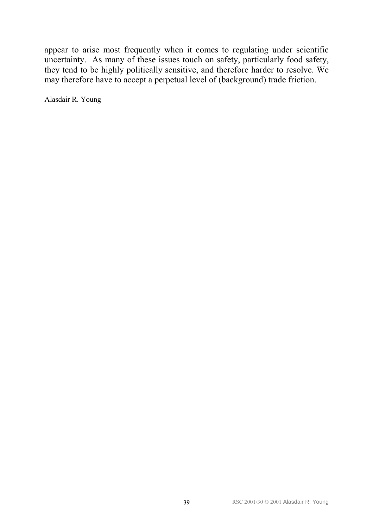appear to arise most frequently when it comes to regulating under scientific uncertainty. As many of these issues touch on safety, particularly food safety, they tend to be highly politically sensitive, and therefore harder to resolve. We may therefore have to accept a perpetual level of (background) trade friction.

Alasdair R. Young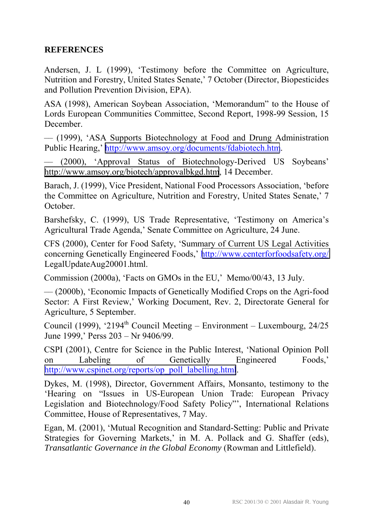#### **REFERENCES**

Andersen, J. L (1999), 'Testimony before the Committee on Agriculture, Nutrition and Forestry, United States Senate,<sup>7</sup> October (Director, Biopesticides and Pollution Prevention Division, EPA).

ASA (1998), American Soybean Association, 'Memorandum'' to the House of Lords European Communities Committee, Second Report, 1998-99 Session, 15 December.

ññ (1999), ëASA Supports Biotechnology at Food and Drung Administration Public Hearing,' <http://www.amsoy.org/documents/fdabiotech.htm>.

 $\frac{1}{2000}$ , 'Approval Status of Biotechnology-Derived US Soybeans' <http://www.amsoy.org/biotech/approvalbkgd.htm>, 14 December.

Barach, J. (1999), Vice President, National Food Processors Association, ëbefore the Committee on Agriculture, Nutrition and Forestry, United States Senate,<sup>7</sup> October.

Barshefsky, C. (1999), US Trade Representative, 'Testimony on America's Agricultural Trade Agenda,' Senate Committee on Agriculture, 24 June.

CFS (2000), Center for Food Safety, 'Summary of Current US Legal Activities concerning Genetically Engineered Foods,' http://www.centerforfoodsafety.org/ LegalUpdateAug20001.html.

Commission (2000a), 'Facts on GMOs in the EU,' Memo/00/43, 13 July.

ññ (2000b), ëEconomic Impacts of Genetically Modified Crops on the Agri-food Sector: A First Review,' Working Document, Rev. 2, Directorate General for Agriculture, 5 September.

Council (1999), '2194<sup>th</sup> Council Meeting – Environment – Luxembourg, 24/25 June 1999,' Perss  $203 - Nr 9406/99$ .

CSPI (2001), Centre for Science in the Public Interest, ëNational Opinion Poll on Labeling of Genetically Engineered Foods, [http://www.cspinet.org/reports/op\\_poll\\_labelling.html](http://www.cspinet.org/reports/op_poll_labelling.html).

Dykes, M. (1998), Director, Government Affairs, Monsanto, testimony to the 'Hearing on "Issues in US-European Union Trade: European Privacy Legislation and Biotechnology/Food Safety Policy"', International Relations Committee, House of Representatives, 7 May.

Egan, M. (2001), ëMutual Recognition and Standard-Setting: Public and Private Strategies for Governing Markets, in M. A. Pollack and G. Shaffer (eds), *Transatlantic Governance in the Global Economy* (Rowman and Littlefield).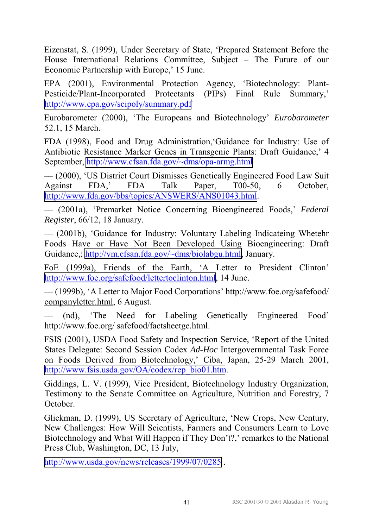Eizenstat, S. (1999), Under Secretary of State, ëPrepared Statement Before the House International Relations Committee, Subject – The Future of our Economic Partnership with Europe,' 15 June.

EPA (2001), Environmental Protection Agency, 'Biotechnology: Plant-Pesticide/Plant-Incorporated Protectants (PIPs) Final Rule Summary,' <http://www.epa.gov/scipoly/summary.pdf>

Eurobarometer (2000), 'The Europeans and Biotechnology' *Eurobarometer* 52.1, 15 March.

FDA (1998), Food and Drug Administration, Guidance for Industry: Use of Antibiotic Resistance Marker Genes in Transgenic Plants: Draft Guidance,' 4 September,<http://www.cfsan.fda.gov/~dms/opa-armg.html>

ññ (2000), ëUS District Court Dismisses Genetically Engineered Food Law Suit Against FDA,' FDA Talk Paper, T00-50, 6 October, [http://www.fda.gov/bbs/topics/ANSWERS/ANS01043.html.](http://www.fda.gov/bbs/topics/ANSWERS/ANS01043.html)

 $\sim$  (2001a), 'Premarket Notice Concerning Bioengineered Foods,' *Federal Register*, 66/12, 18 January.

ññ (2001b), ëGuidance for Industry: Voluntary Labeling Indicateing Whetehr Foods Have or Have Not Been Developed Using Bioengineering: Draft Guidance,; [http://vm.cfsan.fda.gov/~dms/biolabgu.html,](http://vm.cfsan.fda.gov/~dms/biolabgu.html) January.

FoE (1999a), Friends of the Earth, 'A Letter to President Clinton' <http://www.foe.org/safefood/lettertoclinton.html>, 14 June.

 $\sim$  (1999b), 'A Letter to Major Food Corporations' http://www.foe.org/safefood/ companyletter.html, 6 August.

(nd), 'The Need for Labeling Genetically Engineered Food' http://www.foe.org/ safefood/factsheetge.html.

FSIS (2001), USDA Food Safety and Inspection Service, ëReport of the United States Delegate: Second Session Codex *Ad-Hoc* Intergovernmental Task Force on Foods Derived from Biotechnology,' Ciba, Japan, 25-29 March 2001, [http://www.fsis.usda.gov/OA/codex/rep\\_bio01.htm](http://www.fsis.usda.gov/OA/codex/rep_bio01.htm).

Giddings, L. V. (1999), Vice President, Biotechnology Industry Organization, Testimony to the Senate Committee on Agriculture, Nutrition and Forestry, 7 October.

Glickman, D. (1999), US Secretary of Agriculture, ëNew Crops, New Century, New Challenges: How Will Scientists, Farmers and Consumers Learn to Love Biotechnology and What Will Happen if They Don't?, remarkes to the National Press Club, Washington, DC, 13 July,

<http://www.usda.gov/news/releases/1999/07/0285>.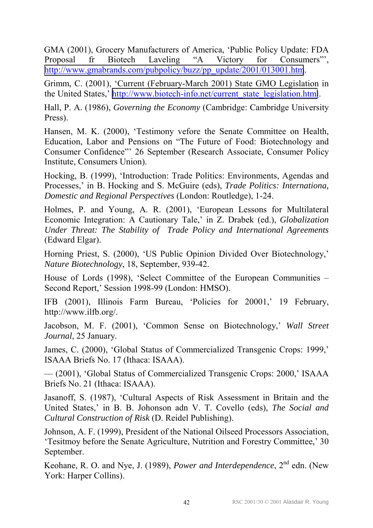GMA (2001), Grocery Manufacturers of America, ëPublic Policy Update: FDA Proposal fr Biotech Laveling "A Victory for Consumers", [http://www.gmabrands.com/pubpolicy/buzz/pp\\_update/2001/013001.htm](http://www.gmabrands.com/pubpolicy/buzz/pp_update/2001/013001.htm).

Grimm, C. (2001), ëCurrent (February-March 2001) State GMO Legislation in the United States,' [http://www.biotech-info.net/current\\_state\\_legislation.html](http://www.biotech-info.net/current_state_legislation.html).

Hall, P. A. (1986), *Governing the Economy* (Cambridge: Cambridge University Press).

Hansen, M. K. (2000), 'Testimony vefore the Senate Committee on Health, Education, Labor and Pensions on "The Future of Food: Biotechnology and Consumer Confidence"<sup>26</sup> September (Research Associate, Consumer Policy Institute, Consumers Union).

Hocking, B. (1999), 'Introduction: Trade Politics: Environments, Agendas and Processes,' in B. Hocking and S. McGuire (eds), *Trade Politics: Internationa*, *Domestic and Regional Perspectives* (London: Routledge), 1-24.

Holmes, P. and Young, A. R. (2001), ëEuropean Lessons for Multilateral Economic Integration: A Cautionary Tale,<sup> $\cdot$ </sup> in Z. Drabek (ed.), *Globalization Under Threat: The Stability of Trade Policy and International Agreements* (Edward Elgar).

Horning Priest, S. (2000), 'US Public Opinion Divided Over Biotechnology,' *Nature Biotechnology*, 18, September, 939-42.

House of Lords (1998), 'Select Committee of the European Communities  $-$ Second Report,' Session 1998-99 (London: HMSO).

IFB (2001), Illinois Farm Bureau, 'Policies for 20001,' 19 February, http://www.ilfb.org/.

Jacobson, M. F. (2001), 'Common Sense on Biotechnology,' *Wall Street Journal*, 25 January.

James, C. (2000), 'Global Status of Commercialized Transgenic Crops: 1999,' ISAAA Briefs No. 17 (Ithaca: ISAAA).

 $\sim$  (2001), 'Global Status of Commercialized Transgenic Crops: 2000,' ISAAA Briefs No. 21 (Ithaca: ISAAA).

Jasanoff, S. (1987), ëCultural Aspects of Risk Assessment in Britain and the United States,<sup> $\cdot$ </sup> in B. B. Johonson adn V. T. Covello (eds), *The Social and Cultural Construction of Risk* (D. Reidel Publishing).

Johnson, A. F. (1999), President of the National Oilseed Processors Association, Example of Tesitmoy before the Senate Agriculture, Nutrition and Forestry Committee, 30 September.

Keohane, R. O. and Nye, J. (1989), *Power and Interdependence*, 2<sup>nd</sup> edn. (New York: Harper Collins).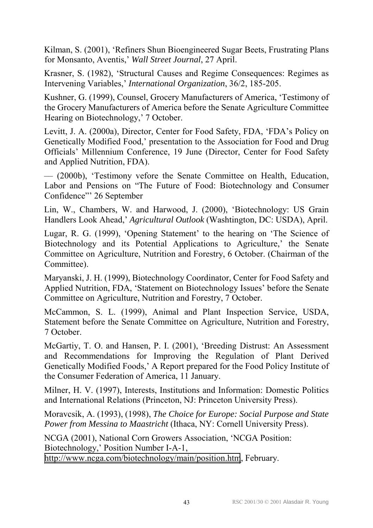Kilman, S. (2001), 'Refiners Shun Bioengineered Sugar Beets, Frustrating Plans for Monsanto, Aventis,<sup>*Wall Street Journal*, 27 April.</sup>

Krasner, S. (1982), 'Structural Causes and Regime Consequences: Regimes as Intervening Variables,' *International Organization*, 36/2, 185-205.

Kushner, G. (1999), Counsel, Grocery Manufacturers of America, 'Testimony of the Grocery Manufacturers of America before the Senate Agriculture Committee Hearing on Biotechnology,' 7 October.

Levitt, J. A. (2000a), Director, Center for Food Safety, FDA, 'FDA's Policy on Genetically Modified Food,' presentation to the Association for Food and Drug Officials' Millennium Conference, 19 June (Director, Center for Food Safety and Applied Nutrition, FDA).

ññ (2000b), ëTestimony vefore the Senate Committee on Health, Education, Labor and Pensions on "The Future of Food: Biotechnology and Consumer Confidence" 26 September

Lin, W., Chambers, W. and Harwood, J. (2000), 'Biotechnology: US Grain Handlers Look Ahead,' Agricultural Outlook (Washtington, DC: USDA), April.

Lugar, R. G. (1999), 'Opening Statement' to the hearing on 'The Science of Biotechnology and its Potential Applications to Agriculture,' the Senate Committee on Agriculture, Nutrition and Forestry, 6 October. (Chairman of the Committee).

Maryanski, J. H. (1999), Biotechnology Coordinator, Center for Food Safety and Applied Nutrition, FDA, 'Statement on Biotechnology Issues' before the Senate Committee on Agriculture, Nutrition and Forestry, 7 October.

McCammon, S. L. (1999), Animal and Plant Inspection Service, USDA, Statement before the Senate Committee on Agriculture, Nutrition and Forestry, 7 October.

McGartiy, T. O. and Hansen, P. I. (2001), 'Breeding Distrust: An Assessment and Recommendations for Improving the Regulation of Plant Derived Genetically Modified Foods,<sup>†</sup> A Report prepared for the Food Policy Institute of the Consumer Federation of America, 11 January.

Milner, H. V. (1997), Interests, Institutions and Information: Domestic Politics and International Relations (Princeton, NJ: Princeton University Press).

Moravcsik, A. (1993), (1998), *The Choice for Europe: Social Purpose and State Power from Messina to Maastricht* (Ithaca, NY: Cornell University Press).

NCGA (2001), National Corn Growers Association, ëNCGA Position: Biotechnology,' Position Number I-A-1, <http://www.ncga.com/biotechnology/main/position.htm>, February.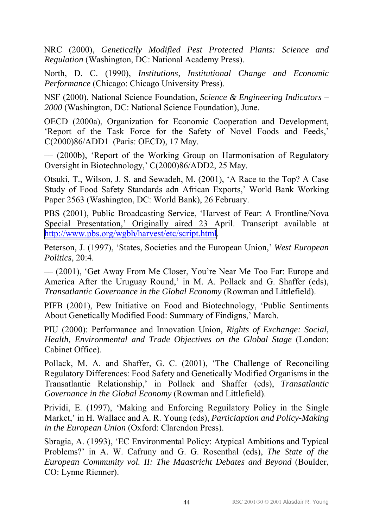NRC (2000), *Genetically Modified Pest Protected Plants: Science and Regulation* (Washington, DC: National Academy Press).

North, D. C. (1990), *Institutions, Institutional Change and Economic Performance* (Chicago: Chicago University Press).

NSF (2000), National Science Foundation, *Science & Engineering Indicators – 2000* (Washington, DC: National Science Foundation), June.

OECD (2000a), Organization for Economic Cooperation and Development, 'Report of the Task Force for the Safety of Novel Foods and Feeds,' C(2000)86/ADD1 (Paris: OECD), 17 May.

 $\frac{1}{2000}$ , 'Report of the Working Group on Harmonisation of Regulatory Oversight in Biotechnology,' C(2000)86/ADD2, 25 May.

Otsuki, T., Wilson, J. S. and Sewadeh, M. (2001), ëA Race to the Top? A Case Study of Food Safety Standards adn African Exports,' World Bank Working Paper 2563 (Washington, DC: World Bank), 26 February.

PBS (2001), Public Broadcasting Service, 'Harvest of Fear: A Frontline/Nova Special Presentation,' Originally aired 23 April. Transcript available at [http://www.pbs.org/wgbh/harvest/etc/script.html.](http://www.pbs.org/wgbh/harvest/etc/script.html)

Peterson, J. (1997), 'States, Societies and the European Union,' *West European Politics*, 20:4.

ññ (2001), ëGet Away From Me Closer, Youíre Near Me Too Far: Europe and America After the Uruguay Round,' in M. A. Pollack and G. Shaffer (eds), *Transatlantic Governance in the Global Economy* (Rowman and Littlefield).

PIFB (2001), Pew Initiative on Food and Biotechnology, ëPublic Sentiments About Genetically Modified Food: Summary of Findigns,' March.

PIU (2000): Performance and Innovation Union, *Rights of Exchange: Social, Health, Environmental and Trade Objectives on the Global Stage* (London: Cabinet Office).

Pollack, M. A. and Shaffer, G. C. (2001), ëThe Challenge of Reconciling Regulatory Differences: Food Safety and Genetically Modified Organisms in the Transatlantic Relationship,' in Pollack and Shaffer (eds), *Transatlantic Governance in the Global Economy* (Rowman and Littlefield).

Prividi, E. (1997), ëMaking and Enforcing Reguilatory Policy in the Single Market,<sup> $\cdot$ </sup> in H. Wallace and A. R. Young (eds), *Particiaption and Policy-Making in the European Union* (Oxford: Clarendon Press).

Sbragia, A. (1993), ëEC Environmental Policy: Atypical Ambitions and Typical Problems?' in A. W. Cafruny and G. G. Rosenthal (eds), *The State of the European Community vol. II: The Maastricht Debates and Beyond* (Boulder, CO: Lynne Rienner).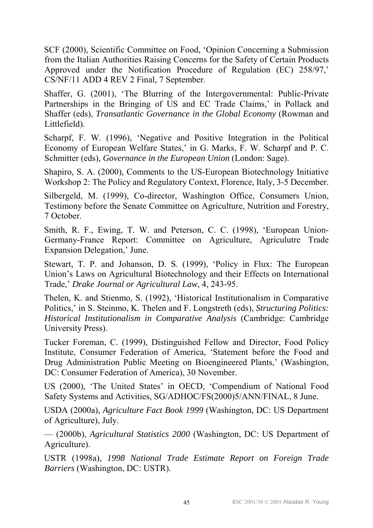SCF (2000), Scientific Committee on Food, ëOpinion Concerning a Submission from the Italian Authorities Raising Concerns for the Safety of Certain Products Approved under the Notification Procedure of Regulation (EC) 258/97, CS/NF/11 ADD 4 REV 2 Final, 7 September.

Shaffer, G. (2001), 'The Blurring of the Intergovernmental: Public-Private Partnerships in the Bringing of US and EC Trade Claims,' in Pollack and Shaffer (eds), *Transatlantic Governance in the Global Economy* (Rowman and Littlefield).

Scharpf, F. W. (1996), 'Negative and Positive Integration in the Political Economy of European Welfare States,' in G. Marks, F. W. Scharpf and P. C. Schmitter (eds), *Governance in the European Union* (London: Sage).

Shapiro, S. A. (2000), Comments to the US-European Biotechnology Initiative Workshop 2: The Policy and Regulatory Context, Florence, Italy, 3-5 December.

Silbergeld, M. (1999), Co-director, Washington Office, Consumers Union, Testimony before the Senate Committee on Agriculture, Nutrition and Forestry, 7 October.

Smith, R. F., Ewing, T. W. and Peterson, C. C. (1998), 'European Union-Germany-France Report: Committee on Agriculture, Agriculutre Trade Expansion Delegation,' June.

Stewart, T. P. and Johanson, D. S. (1999), ëPolicy in Flux: The European Union's Laws on Agricultural Biotechnology and their Effects on International Trade,' *Drake Journal or Agricultural Law*, 4, 243-95.

Thelen, K. and Stienmo, S. (1992), ëHistorical Institutionalism in Comparative Politics,<sup> $\cdot$ </sup> in S. Steinmo, K. Thelen and F. Longstreth (eds), *Structuring Politics: Historical Institutionalism in Comparative Analysis* (Cambridge: Cambridge University Press).

Tucker Foreman, C. (1999), Distinguished Fellow and Director, Food Policy Institute, Consumer Federation of America, 'Statement before the Food and Drug Administration Public Meeting on Bioengineered Plants,' (Washington, DC: Consumer Federation of America), 30 November.

US (2000), 'The United States' in OECD, 'Compendium of National Food Safety Systems and Activities, SG/ADHOC/FS(2000)5/ANN/FINAL, 8 June.

USDA (2000a), *Agriculture Fact Book 1999* (Washington, DC: US Department of Agriculture), July.

 $\sim$  (2000b), *Agricultural Statistics 2000* (Washington, DC: US Department of Agriculture).

USTR (1998a), *1998 National Trade Estimate Report on Foreign Trade Barriers* (Washington, DC: USTR).